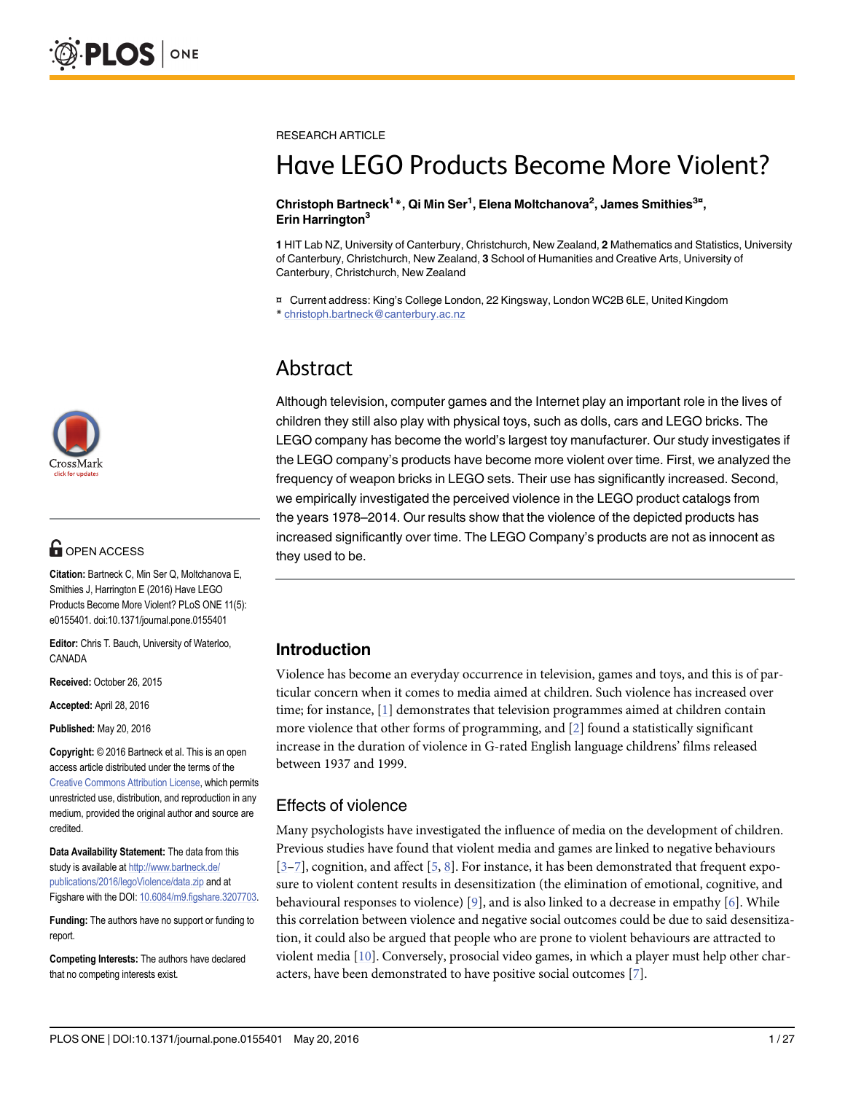

# **G** OPEN ACCESS

Citation: Bartneck C, Min Ser Q, Moltchanova E, Smithies J, Harrington E (2016) Have LEGO Products Become More Violent? PLoS ONE 11(5): e0155401. doi:10.1371/journal.pone.0155401

Editor: Chris T. Bauch, University of Waterloo, CANADA

Received: October 26, 2015

Accepted: April 28, 2016

Published: May 20, 2016

Copyright: © 2016 Bartneck et al. This is an open access article distributed under the terms of the [Creative Commons Attribution License,](http://creativecommons.org/licenses/by/4.0/) which permits unrestricted use, distribution, and reproduction in any medium, provided the original author and source are credited.

Data Availability Statement: The data from this study is available at [http://www.bartneck.de/](http://www.bartneck.de/publications/2016/legoViolence/data.zip) [publications/2016/legoViolence/data.zip](http://www.bartneck.de/publications/2016/legoViolence/data.zip) and at Figshare with the DOI: [10.6084/m9.figshare.3207703.](http://dx.doi.org/10.6084/m9.figshare.3207703)

Funding: The authors have no support or funding to report.

Competing Interests: The authors have declared that no competing interests exist.

<span id="page-0-0"></span>RESEARCH ARTICLE

# Have LEGO Products Become More Violent?

#### Christoph Bartneck<sup>1</sup>\*, Qi Min Ser<sup>1</sup>, Elena Moltchanova<sup>2</sup>, James Smithies<sup>3¤</sup>, Erin Harrington<sup>3</sup>

1 HIT Lab NZ, University of Canterbury, Christchurch, New Zealand, 2 Mathematics and Statistics, University of Canterbury, Christchurch, New Zealand, 3 School of Humanities and Creative Arts, University of Canterbury, Christchurch, New Zealand

¤ Current address: King's College London, 22 Kingsway, London WC2B 6LE, United Kingdom \* christoph.bartneck@canterbury.ac.nz

# Abstract

Although television, computer games and the Internet play an important role in the lives of children they still also play with physical toys, such as dolls, cars and LEGO bricks. The LEGO company has become the world's largest toy manufacturer. Our study investigates if the LEGO company's products have become more violent over time. First, we analyzed the frequency of weapon bricks in LEGO sets. Their use has significantly increased. Second, we empirically investigated the perceived violence in the LEGO product catalogs from the years 1978–2014. Our results show that the violence of the depicted products has increased significantly over time. The LEGO Company's products are not as innocent as they used to be.

# Introduction

Violence has become an everyday occurrence in television, games and toys, and this is of particular concern when it comes to media aimed at children. Such violence has increased over time; for instance,  $[1]$  $[1]$  demonstrates that television programmes aimed at children contain more violence that other forms of programming, and [\[2](#page-24-0)] found a statistically significant increase in the duration of violence in G-rated English language childrens' films released between 1937 and 1999.

# Effects of violence

Many psychologists have investigated the influence of media on the development of children. Previous studies have found that violent media and games are linked to negative behaviours  $[3–7]$  $[3–7]$  $[3–7]$  $[3–7]$ , cognition, and affect  $[5, 8]$  $[5, 8]$  $[5, 8]$  $[5, 8]$ . For instance, it has been demonstrated that frequent exposure to violent content results in desensitization (the elimination of emotional, cognitive, and behavioural responses to violence)  $[9]$  $[9]$ , and is also linked to a decrease in empathy  $[6]$ . While this correlation between violence and negative social outcomes could be due to said desensitization, it could also be argued that people who are prone to violent behaviours are attracted to violent media [[10](#page-24-0)]. Conversely, prosocial video games, in which a player must help other characters, have been demonstrated to have positive social outcomes  $[7]$  $[7]$ .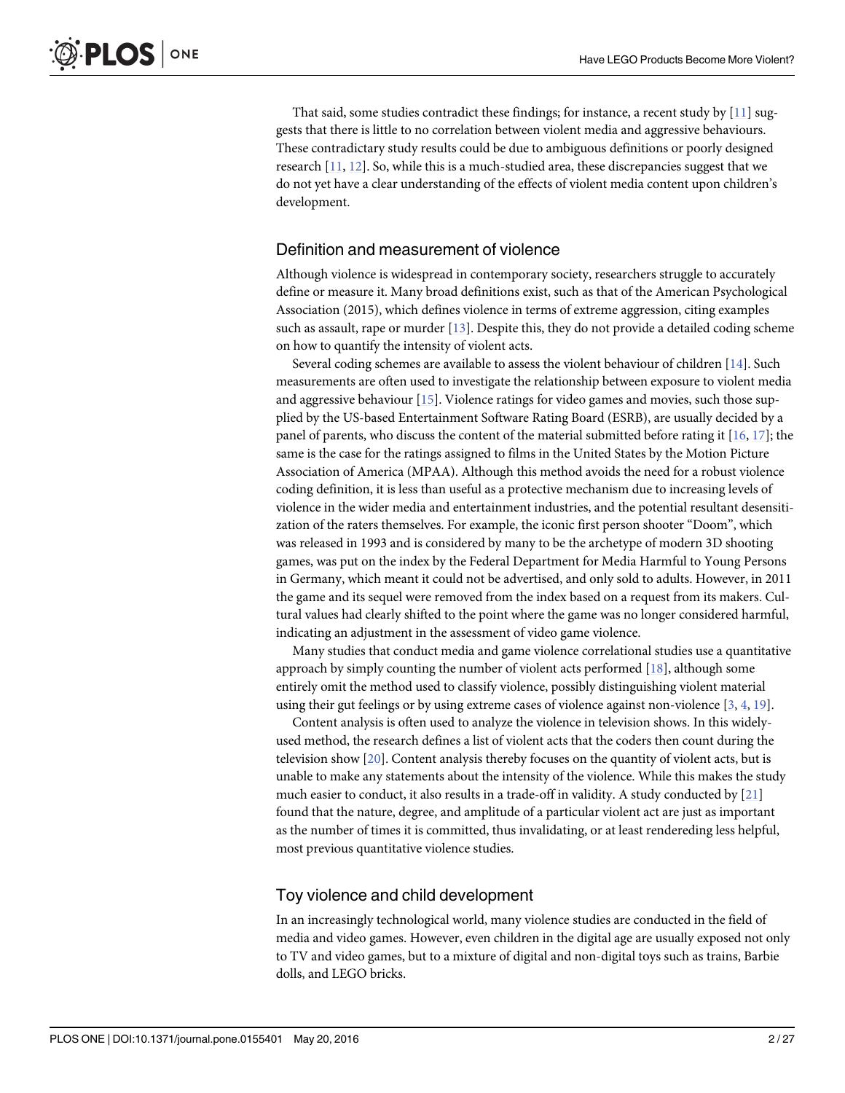<span id="page-1-0"></span>That said, some studies contradict these findings; for instance, a recent study by  $[11]$  $[11]$  suggests that there is little to no correlation between violent media and aggressive behaviours. These contradictary study results could be due to ambiguous definitions or poorly designed research  $[11, 12]$  $[11, 12]$  $[11, 12]$  $[11, 12]$  $[11, 12]$ . So, while this is a much-studied area, these discrepancies suggest that we do not yet have a clear understanding of the effects of violent media content upon children's development.

#### Definition and measurement of violence

Although violence is widespread in contemporary society, researchers struggle to accurately define or measure it. Many broad definitions exist, such as that of the American Psychological Association (2015), which defines violence in terms of extreme aggression, citing examples such as assault, rape or murder [\[13\]](#page-25-0). Despite this, they do not provide a detailed coding scheme on how to quantify the intensity of violent acts.

Several coding schemes are available to assess the violent behaviour of children [[14](#page-25-0)]. Such measurements are often used to investigate the relationship between exposure to violent media and aggressive behaviour  $[15]$ . Violence ratings for video games and movies, such those supplied by the US-based Entertainment Software Rating Board (ESRB), are usually decided by a panel of parents, who discuss the content of the material submitted before rating it [\[16,](#page-25-0) [17\]](#page-25-0); the same is the case for the ratings assigned to films in the United States by the Motion Picture Association of America (MPAA). Although this method avoids the need for a robust violence coding definition, it is less than useful as a protective mechanism due to increasing levels of violence in the wider media and entertainment industries, and the potential resultant desensitization of the raters themselves. For example, the iconic first person shooter "Doom", which was released in 1993 and is considered by many to be the archetype of modern 3D shooting games, was put on the index by the Federal Department for Media Harmful to Young Persons in Germany, which meant it could not be advertised, and only sold to adults. However, in 2011 the game and its sequel were removed from the index based on a request from its makers. Cultural values had clearly shifted to the point where the game was no longer considered harmful, indicating an adjustment in the assessment of video game violence.

Many studies that conduct media and game violence correlational studies use a quantitative approach by simply counting the number of violent acts performed  $[18]$ , although some entirely omit the method used to classify violence, possibly distinguishing violent material using their gut feelings or by using extreme cases of violence against non-violence  $[3, 4, 19]$  $[3, 4, 19]$  $[3, 4, 19]$  $[3, 4, 19]$  $[3, 4, 19]$  $[3, 4, 19]$  $[3, 4, 19]$ .

Content analysis is often used to analyze the violence in television shows. In this widelyused method, the research defines a list of violent acts that the coders then count during the television show [\[20\]](#page-25-0). Content analysis thereby focuses on the quantity of violent acts, but is unable to make any statements about the intensity of the violence. While this makes the study much easier to conduct, it also results in a trade-off in validity. A study conducted by [\[21\]](#page-25-0) found that the nature, degree, and amplitude of a particular violent act are just as important as the number of times it is committed, thus invalidating, or at least rendereding less helpful, most previous quantitative violence studies.

#### Toy violence and child development

In an increasingly technological world, many violence studies are conducted in the field of media and video games. However, even children in the digital age are usually exposed not only to TV and video games, but to a mixture of digital and non-digital toys such as trains, Barbie dolls, and LEGO bricks.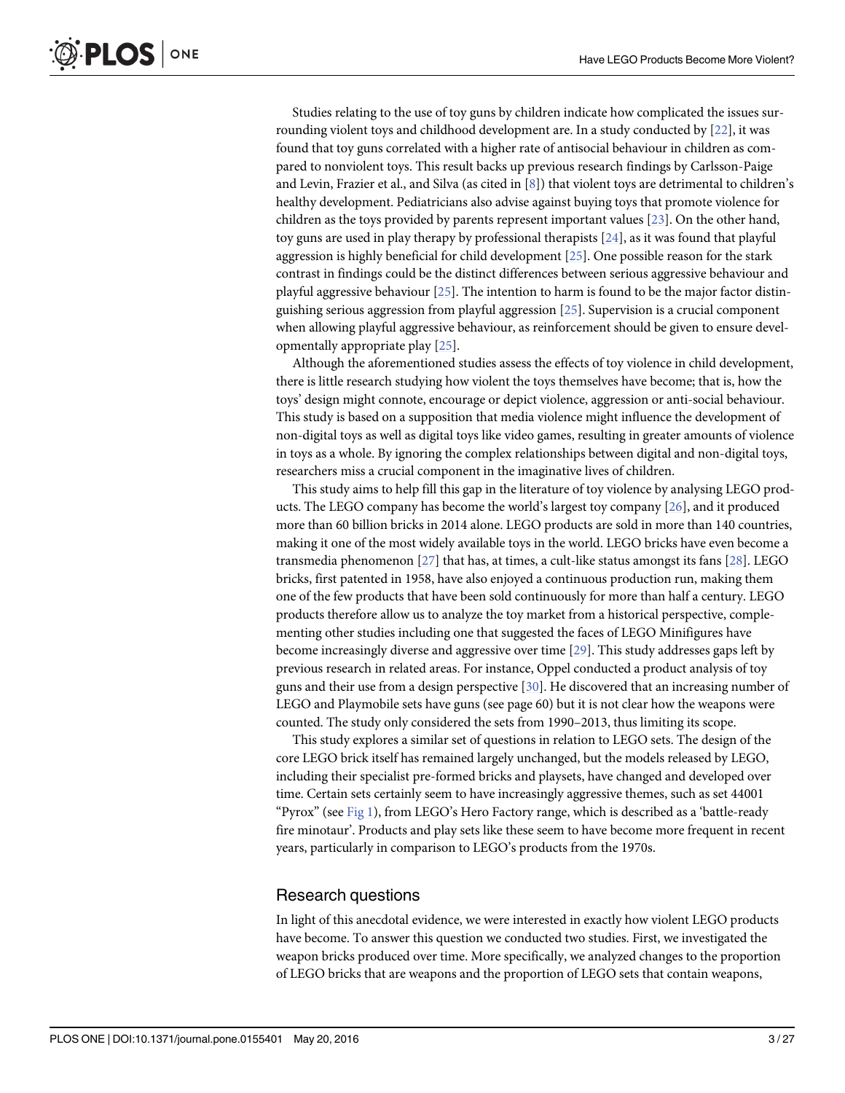<span id="page-2-0"></span>Studies relating to the use of toy guns by children indicate how complicated the issues surrounding violent toys and childhood development are. In a study conducted by  $[22]$  $[22]$ , it was found that toy guns correlated with a higher rate of antisocial behaviour in children as compared to nonviolent toys. This result backs up previous research findings by Carlsson-Paige and Levin, Frazier et al., and Silva (as cited in [[8](#page-24-0)]) that violent toys are detrimental to children's healthy development. Pediatricians also advise against buying toys that promote violence for children as the toys provided by parents represent important values [\[23\]](#page-25-0). On the other hand, toy guns are used in play therapy by professional therapists [[24](#page-25-0)], as it was found that playful aggression is highly beneficial for child development  $[25]$  $[25]$  $[25]$ . One possible reason for the stark contrast in findings could be the distinct differences between serious aggressive behaviour and playful aggressive behaviour [\[25\]](#page-25-0). The intention to harm is found to be the major factor distinguishing serious aggression from playful aggression [\[25\]](#page-25-0). Supervision is a crucial component when allowing playful aggressive behaviour, as reinforcement should be given to ensure developmentally appropriate play [\[25\]](#page-25-0).

Although the aforementioned studies assess the effects of toy violence in child development, there is little research studying how violent the toys themselves have become; that is, how the toys' design might connote, encourage or depict violence, aggression or anti-social behaviour. This study is based on a supposition that media violence might influence the development of non-digital toys as well as digital toys like video games, resulting in greater amounts of violence in toys as a whole. By ignoring the complex relationships between digital and non-digital toys, researchers miss a crucial component in the imaginative lives of children.

This study aims to help fill this gap in the literature of toy violence by analysing LEGO products. The LEGO company has become the world's largest toy company [[26](#page-25-0)], and it produced more than 60 billion bricks in 2014 alone. LEGO products are sold in more than 140 countries, making it one of the most widely available toys in the world. LEGO bricks have even become a transmedia phenomenon [[27](#page-25-0)] that has, at times, a cult-like status amongst its fans [[28](#page-25-0)]. LEGO bricks, first patented in 1958, have also enjoyed a continuous production run, making them one of the few products that have been sold continuously for more than half a century. LEGO products therefore allow us to analyze the toy market from a historical perspective, complementing other studies including one that suggested the faces of LEGO Minifigures have become increasingly diverse and aggressive over time [[29](#page-25-0)]. This study addresses gaps left by previous research in related areas. For instance, Oppel conducted a product analysis of toy guns and their use from a design perspective  $[30]$ . He discovered that an increasing number of LEGO and Playmobile sets have guns (see page 60) but it is not clear how the weapons were counted. The study only considered the sets from 1990–2013, thus limiting its scope.

This study explores a similar set of questions in relation to LEGO sets. The design of the core LEGO brick itself has remained largely unchanged, but the models released by LEGO, including their specialist pre-formed bricks and playsets, have changed and developed over time. Certain sets certainly seem to have increasingly aggressive themes, such as set 44001 "Pyrox" (see [Fig 1\)](#page-3-0), from LEGO's Hero Factory range, which is described as a 'battle-ready fire minotaur'. Products and play sets like these seem to have become more frequent in recent years, particularly in comparison to LEGO's products from the 1970s.

#### Research questions

In light of this anecdotal evidence, we were interested in exactly how violent LEGO products have become. To answer this question we conducted two studies. First, we investigated the weapon bricks produced over time. More specifically, we analyzed changes to the proportion of LEGO bricks that are weapons and the proportion of LEGO sets that contain weapons,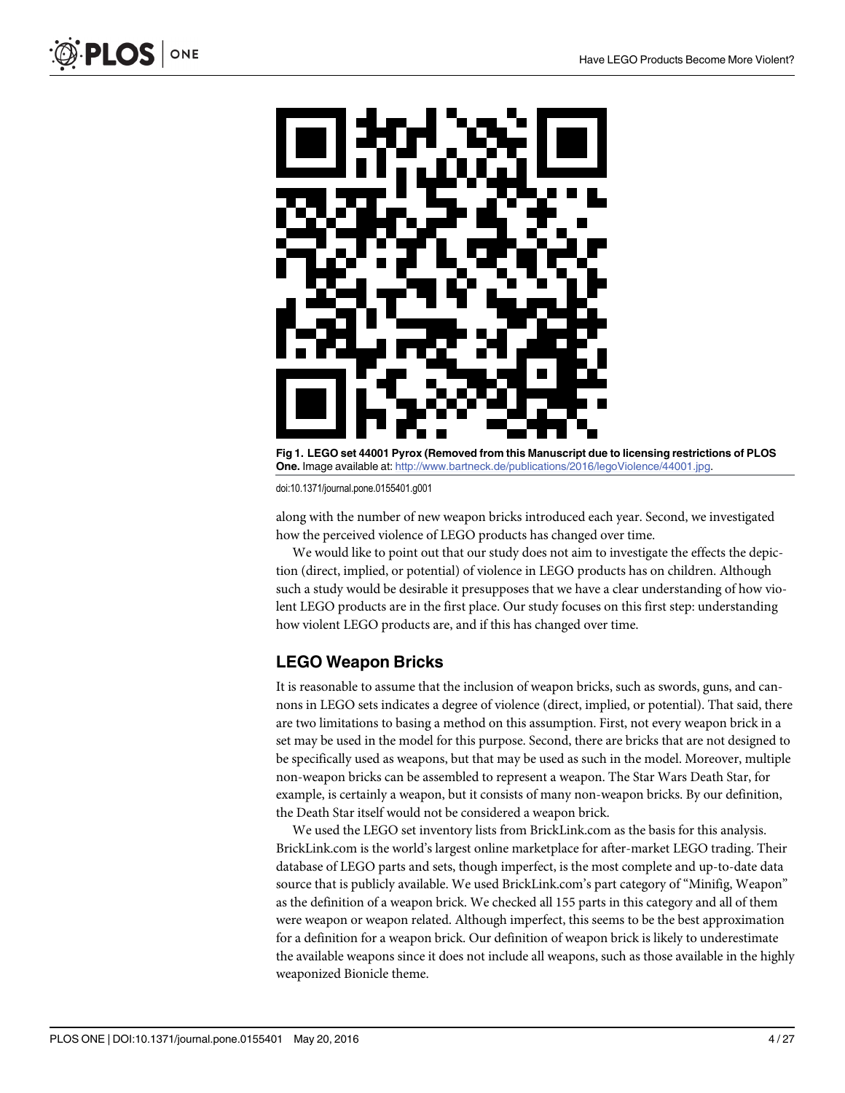<span id="page-3-0"></span>

[Fig 1. L](#page-2-0)EGO set 44001 Pyrox (Removed from this Manuscript due to licensing restrictions of PLOS One. Image available at: [http://www.bartneck.de/publications/2016/legoViolence/44001.jpg.](http://www.bartneck.de/publications/2016/legoViolence/44001.jpg)

along with the number of new weapon bricks introduced each year. Second, we investigated how the perceived violence of LEGO products has changed over time.

We would like to point out that our study does not aim to investigate the effects the depiction (direct, implied, or potential) of violence in LEGO products has on children. Although such a study would be desirable it presupposes that we have a clear understanding of how violent LEGO products are in the first place. Our study focuses on this first step: understanding how violent LEGO products are, and if this has changed over time.

# LEGO Weapon Bricks

It is reasonable to assume that the inclusion of weapon bricks, such as swords, guns, and cannons in LEGO sets indicates a degree of violence (direct, implied, or potential). That said, there are two limitations to basing a method on this assumption. First, not every weapon brick in a set may be used in the model for this purpose. Second, there are bricks that are not designed to be specifically used as weapons, but that may be used as such in the model. Moreover, multiple non-weapon bricks can be assembled to represent a weapon. The Star Wars Death Star, for example, is certainly a weapon, but it consists of many non-weapon bricks. By our definition, the Death Star itself would not be considered a weapon brick.

We used the LEGO set inventory lists from BrickLink.com as the basis for this analysis. BrickLink.com is the world's largest online marketplace for after-market LEGO trading. Their database of LEGO parts and sets, though imperfect, is the most complete and up-to-date data source that is publicly available. We used BrickLink.com's part category of "Minifig, Weapon" as the definition of a weapon brick. We checked all 155 parts in this category and all of them were weapon or weapon related. Although imperfect, this seems to be the best approximation for a definition for a weapon brick. Our definition of weapon brick is likely to underestimate the available weapons since it does not include all weapons, such as those available in the highly weaponized Bionicle theme.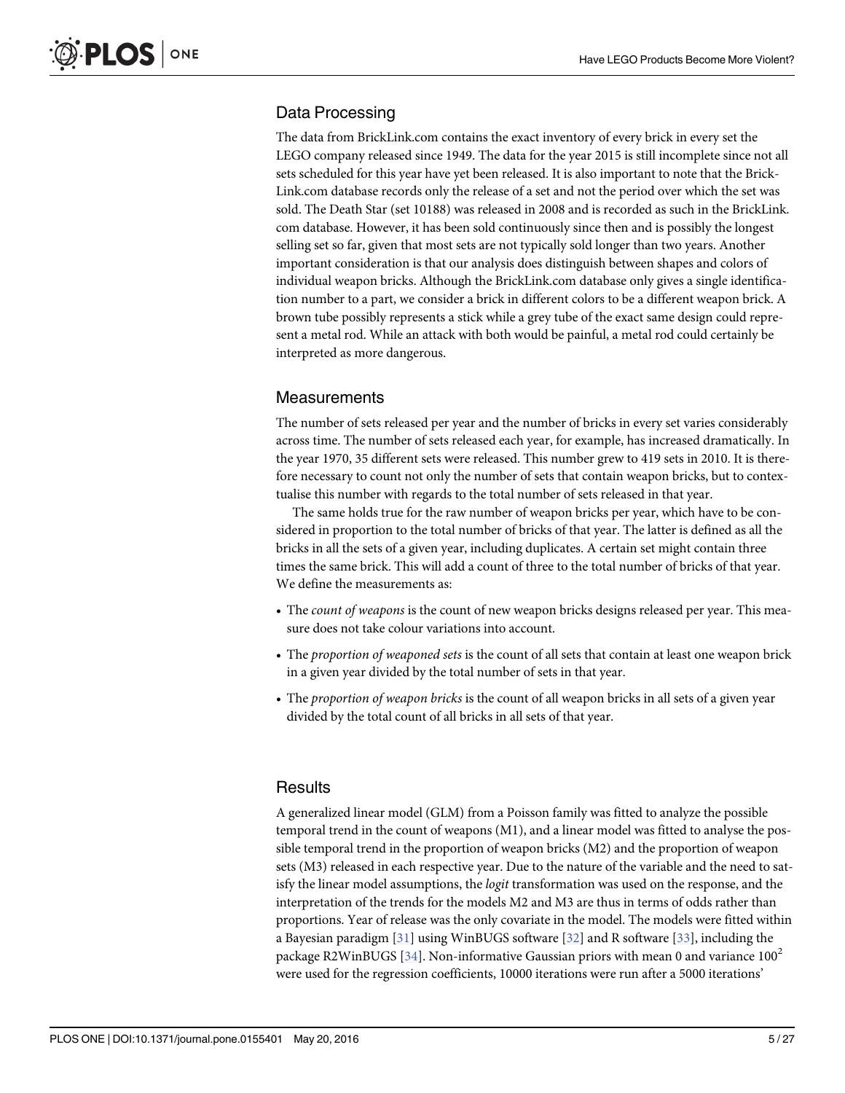### <span id="page-4-0"></span>Data Processing

The data from BrickLink.com contains the exact inventory of every brick in every set the LEGO company released since 1949. The data for the year 2015 is still incomplete since not all sets scheduled for this year have yet been released. It is also important to note that the Brick-Link.com database records only the release of a set and not the period over which the set was sold. The Death Star (set 10188) was released in 2008 and is recorded as such in the BrickLink. com database. However, it has been sold continuously since then and is possibly the longest selling set so far, given that most sets are not typically sold longer than two years. Another important consideration is that our analysis does distinguish between shapes and colors of individual weapon bricks. Although the BrickLink.com database only gives a single identification number to a part, we consider a brick in different colors to be a different weapon brick. A brown tube possibly represents a stick while a grey tube of the exact same design could represent a metal rod. While an attack with both would be painful, a metal rod could certainly be interpreted as more dangerous.

#### **Measurements**

The number of sets released per year and the number of bricks in every set varies considerably across time. The number of sets released each year, for example, has increased dramatically. In the year 1970, 35 different sets were released. This number grew to 419 sets in 2010. It is therefore necessary to count not only the number of sets that contain weapon bricks, but to contextualise this number with regards to the total number of sets released in that year.

The same holds true for the raw number of weapon bricks per year, which have to be considered in proportion to the total number of bricks of that year. The latter is defined as all the bricks in all the sets of a given year, including duplicates. A certain set might contain three times the same brick. This will add a count of three to the total number of bricks of that year. We define the measurements as:

- The *count of weapons* is the count of new weapon bricks designs released per year. This measure does not take colour variations into account.
- The proportion of weaponed sets is the count of all sets that contain at least one weapon brick in a given year divided by the total number of sets in that year.
- The proportion of weapon bricks is the count of all weapon bricks in all sets of a given year divided by the total count of all bricks in all sets of that year.

#### **Results**

A generalized linear model (GLM) from a Poisson family was fitted to analyze the possible temporal trend in the count of weapons (M1), and a linear model was fitted to analyse the possible temporal trend in the proportion of weapon bricks (M2) and the proportion of weapon sets (M3) released in each respective year. Due to the nature of the variable and the need to satisfy the linear model assumptions, the *logit* transformation was used on the response, and the interpretation of the trends for the models M2 and M3 are thus in terms of odds rather than proportions. Year of release was the only covariate in the model. The models were fitted within a Bayesian paradigm [[31](#page-25-0)] using WinBUGS software [[32](#page-25-0)] and R software [[33](#page-25-0)], including the package R2WinBUGS [\[34\]](#page-25-0). Non-informative Gaussian priors with mean 0 and variance  $100^2$ were used for the regression coefficients, 10000 iterations were run after a 5000 iterations'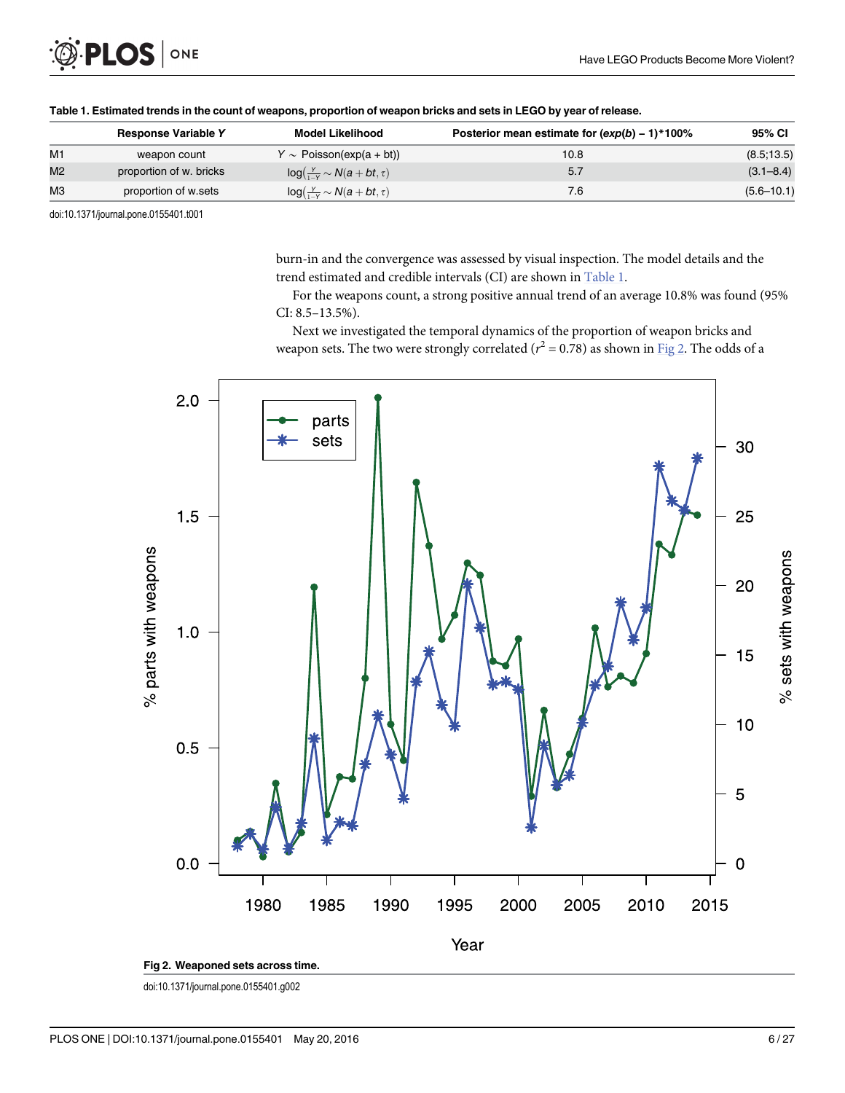<span id="page-5-0"></span>

| Table 1. Estimated trends in the count of weapons, proportion of weapon bricks and sets in LEGO by year of release. |                            |                                           |                                                  |                |  |  |
|---------------------------------------------------------------------------------------------------------------------|----------------------------|-------------------------------------------|--------------------------------------------------|----------------|--|--|
|                                                                                                                     | <b>Response Variable Y</b> | <b>Model Likelihood</b>                   | Posterior mean estimate for $(exp(b) - 1)*100\%$ | 95% CI         |  |  |
| M1                                                                                                                  | weapon count               | $Y \sim$ Poisson(exp(a + bt))             | 10.8                                             | (8.5, 13.5)    |  |  |
| M <sub>2</sub>                                                                                                      | proportion of w. bricks    | $log(\frac{y}{1-y} \sim N(a + bt, \tau))$ | 5.7                                              | $(3.1 - 8.4)$  |  |  |
| MЗ                                                                                                                  | proportion of w.sets       | $log(\frac{Y}{1-Y} \sim N(a + bt, \tau))$ | 7.6                                              | $(5.6 - 10.1)$ |  |  |
|                                                                                                                     |                            |                                           |                                                  |                |  |  |

burn-in and the convergence was assessed by visual inspection. The model details and the trend estimated and credible intervals (CI) are shown in Table 1.

For the weapons count, a strong positive annual trend of an average 10.8% was found (95% CI: 8.5–13.5%).

Next we investigated the temporal dynamics of the proportion of weapon bricks and weapon sets. The two were strongly correlated ( $r^2$  = 0.78) as shown in Fig 2. The odds of a



doi:10.1371/journal.pone.0155401.g002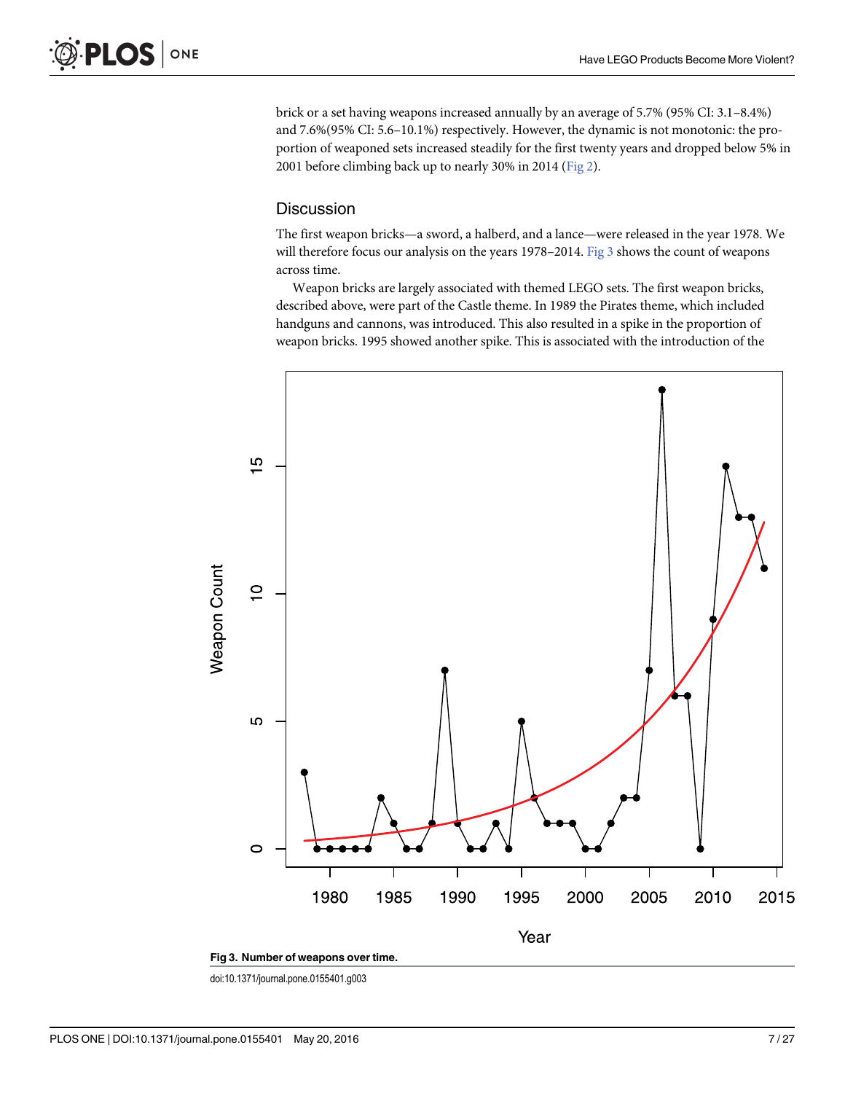brick or a set having weapons increased annually by an average of 5.7% (95% CI: 3.1–8.4%) and 7.6%(95% CI: 5.6–10.1%) respectively. However, the dynamic is not monotonic: the proportion of weaponed sets increased steadily for the first twenty years and dropped below 5% in 2001 before climbing back up to nearly 30% in 2014 ([Fig 2\)](#page-5-0).

#### **Discussion**

The first weapon bricks—a sword, a halberd, and a lance—were released in the year 1978. We will therefore focus our analysis on the years 1978–2014. Fig 3 shows the count of weapons across time.

Weapon bricks are largely associated with themed LEGO sets. The first weapon bricks, described above, were part of the Castle theme. In 1989 the Pirates theme, which included handguns and cannons, was introduced. This also resulted in a spike in the proportion of weapon bricks. 1995 showed another spike. This is associated with the introduction of the



doi:10.1371/journal.pone.0155401.g003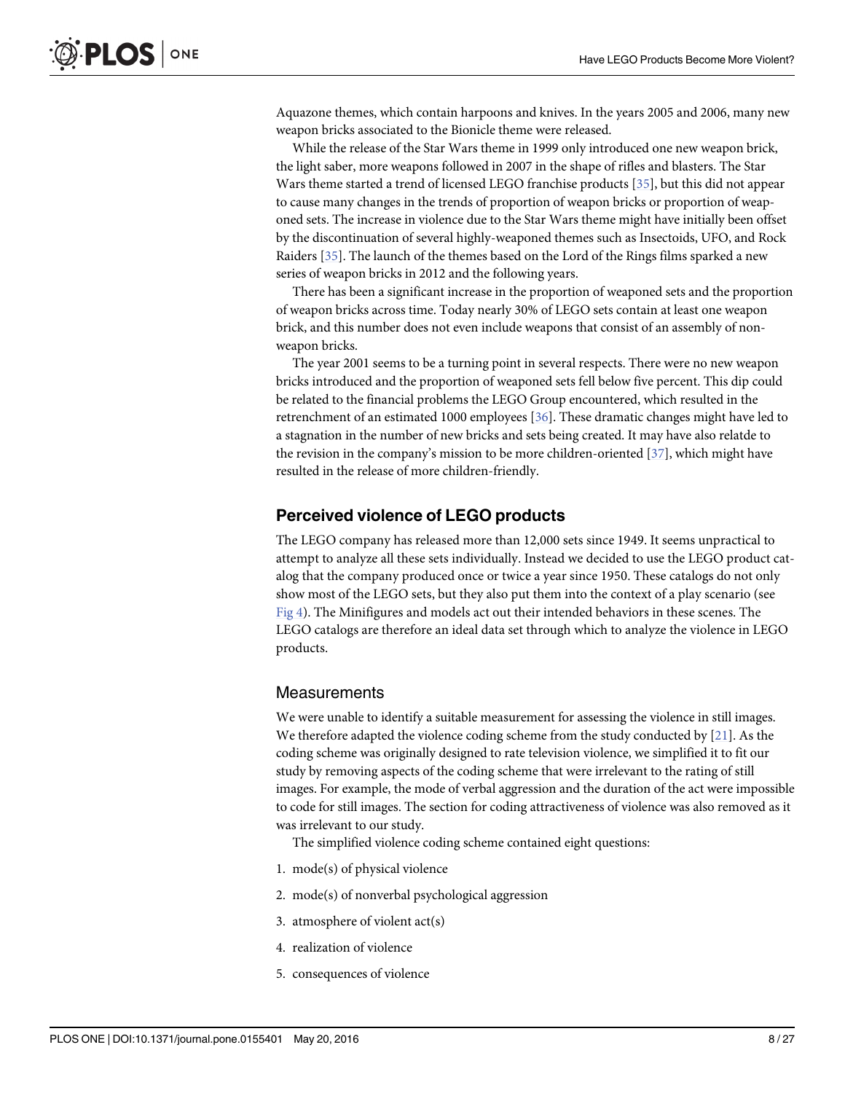<span id="page-7-0"></span>Aquazone themes, which contain harpoons and knives. In the years 2005 and 2006, many new weapon bricks associated to the Bionicle theme were released.

While the release of the Star Wars theme in 1999 only introduced one new weapon brick, the light saber, more weapons followed in 2007 in the shape of rifles and blasters. The Star Wars theme started a trend of licensed LEGO franchise products [\[35\]](#page-25-0), but this did not appear to cause many changes in the trends of proportion of weapon bricks or proportion of weaponed sets. The increase in violence due to the Star Wars theme might have initially been offset by the discontinuation of several highly-weaponed themes such as Insectoids, UFO, and Rock Raiders [\[35](#page-25-0)]. The launch of the themes based on the Lord of the Rings films sparked a new series of weapon bricks in 2012 and the following years.

There has been a significant increase in the proportion of weaponed sets and the proportion of weapon bricks across time. Today nearly 30% of LEGO sets contain at least one weapon brick, and this number does not even include weapons that consist of an assembly of nonweapon bricks.

The year 2001 seems to be a turning point in several respects. There were no new weapon bricks introduced and the proportion of weaponed sets fell below five percent. This dip could be related to the financial problems the LEGO Group encountered, which resulted in the retrenchment of an estimated 1000 employees [[36](#page-25-0)]. These dramatic changes might have led to a stagnation in the number of new bricks and sets being created. It may have also relatde to the revision in the company's mission to be more children-oriented [[37\]](#page-26-0), which might have resulted in the release of more children-friendly.

#### Perceived violence of LEGO products

The LEGO company has released more than 12,000 sets since 1949. It seems unpractical to attempt to analyze all these sets individually. Instead we decided to use the LEGO product catalog that the company produced once or twice a year since 1950. These catalogs do not only show most of the LEGO sets, but they also put them into the context of a play scenario (see [Fig 4\)](#page-8-0). The Minifigures and models act out their intended behaviors in these scenes. The LEGO catalogs are therefore an ideal data set through which to analyze the violence in LEGO products.

#### Measurements

We were unable to identify a suitable measurement for assessing the violence in still images. We therefore adapted the violence coding scheme from the study conducted by  $[21]$ . As the coding scheme was originally designed to rate television violence, we simplified it to fit our study by removing aspects of the coding scheme that were irrelevant to the rating of still images. For example, the mode of verbal aggression and the duration of the act were impossible to code for still images. The section for coding attractiveness of violence was also removed as it was irrelevant to our study.

The simplified violence coding scheme contained eight questions:

- 1. mode(s) of physical violence
- 2. mode(s) of nonverbal psychological aggression
- 3. atmosphere of violent act(s)
- 4. realization of violence
- 5. consequences of violence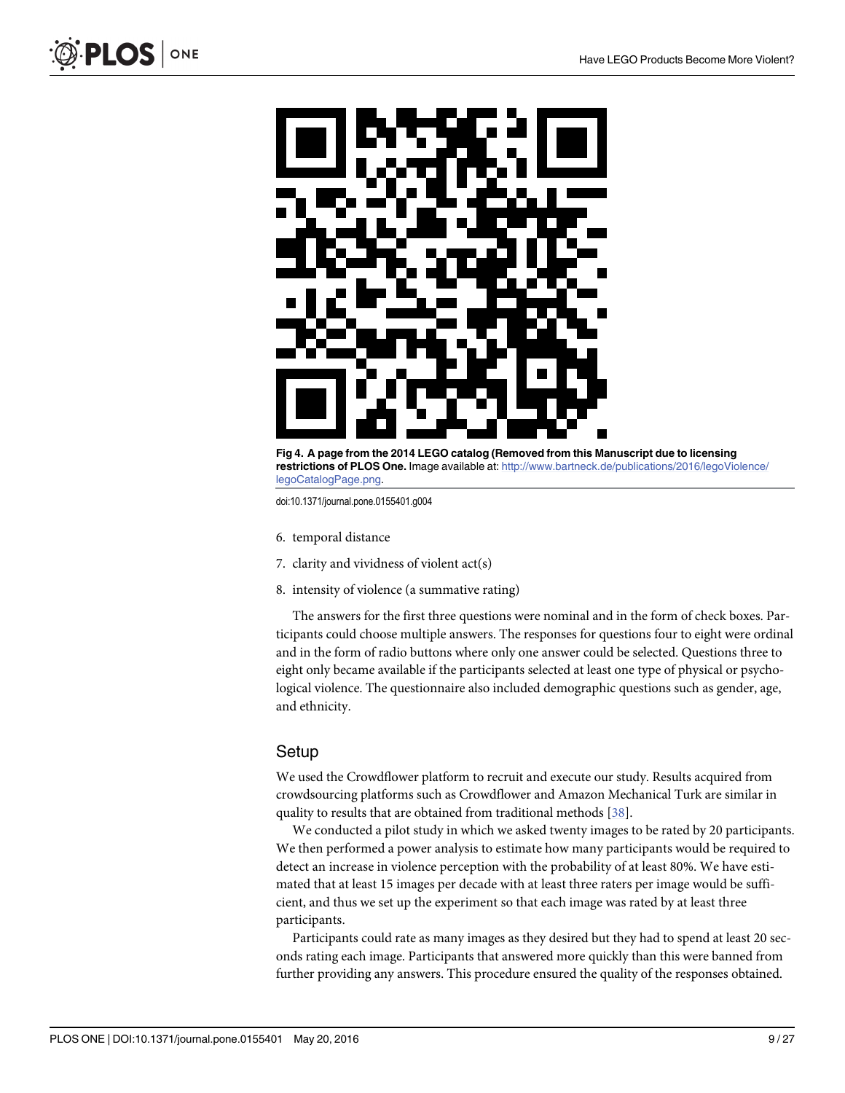<span id="page-8-0"></span>

[Fig 4. A](#page-7-0) page from the 2014 LEGO catalog (Removed from this Manuscript due to licensing restrictions of PLOS One. Image available at: [http://www.bartneck.de/publications/2016/legoViolence/](http://www.bartneck.de/publications/2016/legoViolence/legoCatalogPage.png) [legoCatalogPage.png](http://www.bartneck.de/publications/2016/legoViolence/legoCatalogPage.png).

- 6. temporal distance
- 7. clarity and vividness of violent act(s)
- 8. intensity of violence (a summative rating)

The answers for the first three questions were nominal and in the form of check boxes. Participants could choose multiple answers. The responses for questions four to eight were ordinal and in the form of radio buttons where only one answer could be selected. Questions three to eight only became available if the participants selected at least one type of physical or psychological violence. The questionnaire also included demographic questions such as gender, age, and ethnicity.

#### **Setup**

We used the Crowdflower platform to recruit and execute our study. Results acquired from crowdsourcing platforms such as Crowdflower and Amazon Mechanical Turk are similar in quality to results that are obtained from traditional methods [\[38\]](#page-26-0).

We conducted a pilot study in which we asked twenty images to be rated by 20 participants. We then performed a power analysis to estimate how many participants would be required to detect an increase in violence perception with the probability of at least 80%. We have estimated that at least 15 images per decade with at least three raters per image would be sufficient, and thus we set up the experiment so that each image was rated by at least three participants.

Participants could rate as many images as they desired but they had to spend at least 20 seconds rating each image. Participants that answered more quickly than this were banned from further providing any answers. This procedure ensured the quality of the responses obtained.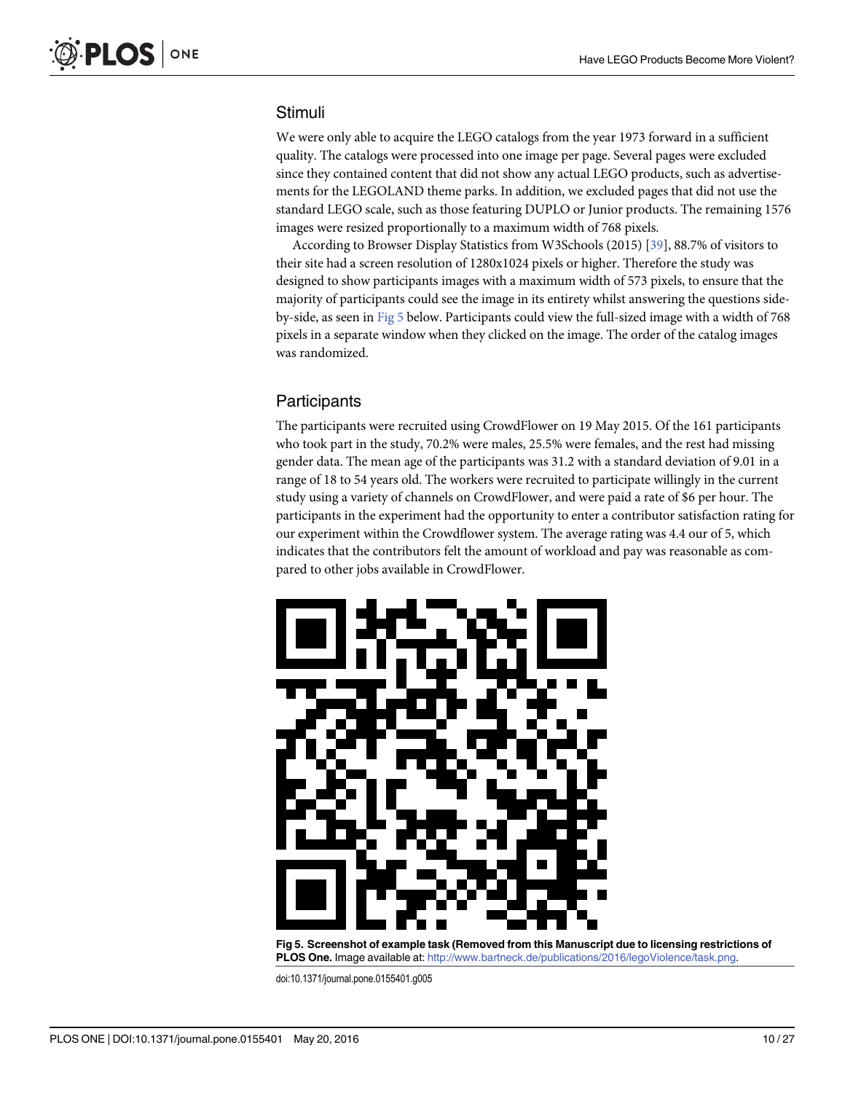# <span id="page-9-0"></span>Stimuli

We were only able to acquire the LEGO catalogs from the year 1973 forward in a sufficient quality. The catalogs were processed into one image per page. Several pages were excluded since they contained content that did not show any actual LEGO products, such as advertisements for the LEGOLAND theme parks. In addition, we excluded pages that did not use the standard LEGO scale, such as those featuring DUPLO or Junior products. The remaining 1576 images were resized proportionally to a maximum width of 768 pixels.

According to Browser Display Statistics from W3Schools (2015) [\[39\]](#page-26-0), 88.7% of visitors to their site had a screen resolution of 1280x1024 pixels or higher. Therefore the study was designed to show participants images with a maximum width of 573 pixels, to ensure that the majority of participants could see the image in its entirety whilst answering the questions sideby-side, as seen in Fig 5 below. Participants could view the full-sized image with a width of 768 pixels in a separate window when they clicked on the image. The order of the catalog images was randomized.

# **Participants**

The participants were recruited using CrowdFlower on 19 May 2015. Of the 161 participants who took part in the study, 70.2% were males, 25.5% were females, and the rest had missing gender data. The mean age of the participants was 31.2 with a standard deviation of 9.01 in a range of 18 to 54 years old. The workers were recruited to participate willingly in the current study using a variety of channels on CrowdFlower, and were paid a rate of \$6 per hour. The participants in the experiment had the opportunity to enter a contributor satisfaction rating for our experiment within the Crowdflower system. The average rating was 4.4 our of 5, which indicates that the contributors felt the amount of workload and pay was reasonable as compared to other jobs available in CrowdFlower.



Fig 5. Screenshot of example task (Removed from this Manuscript due to licensing restrictions of PLOS One. Image available at: <http://www.bartneck.de/publications/2016/legoViolence/task.png>.

doi:10.1371/journal.pone.0155401.g005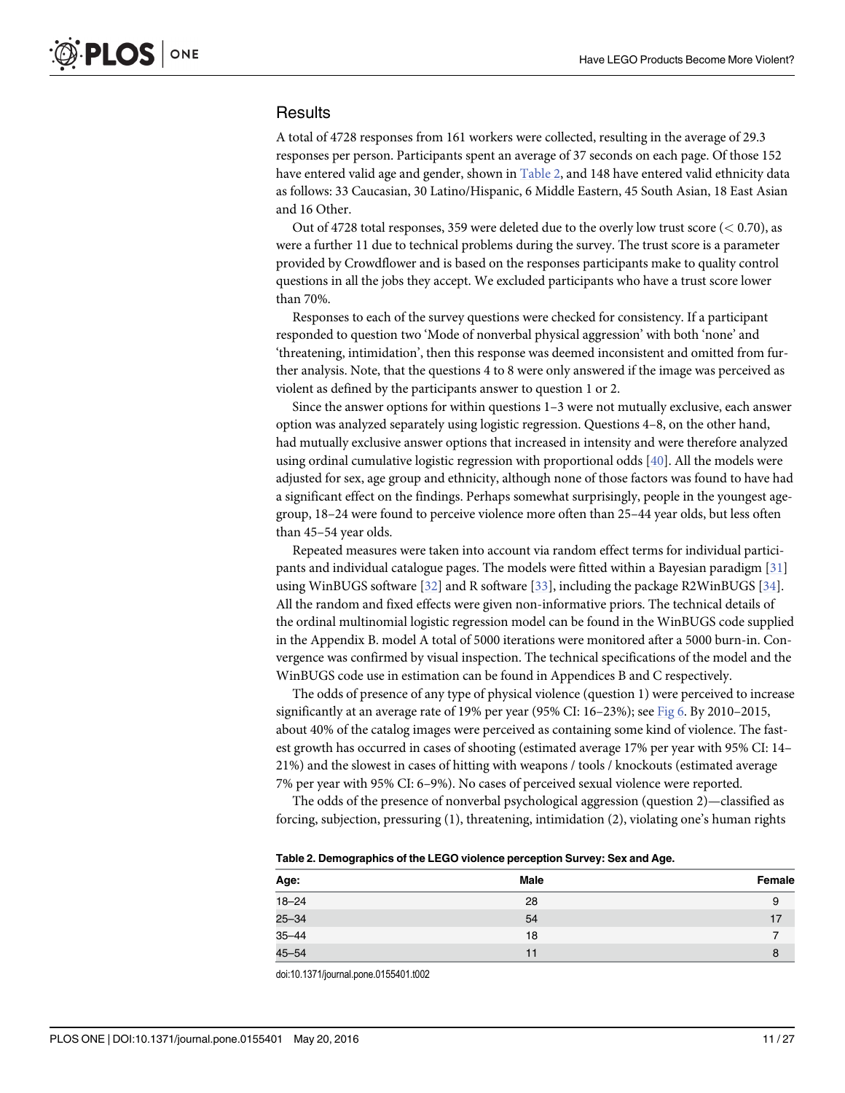### <span id="page-10-0"></span>**Results**

A total of 4728 responses from 161 workers were collected, resulting in the average of 29.3 responses per person. Participants spent an average of 37 seconds on each page. Of those 152 have entered valid age and gender, shown in Table 2, and 148 have entered valid ethnicity data as follows: 33 Caucasian, 30 Latino/Hispanic, 6 Middle Eastern, 45 South Asian, 18 East Asian and 16 Other.

Out of 4728 total responses, 359 were deleted due to the overly low trust score ( $<$  0.70), as were a further 11 due to technical problems during the survey. The trust score is a parameter provided by Crowdflower and is based on the responses participants make to quality control questions in all the jobs they accept. We excluded participants who have a trust score lower than 70%.

Responses to each of the survey questions were checked for consistency. If a participant responded to question two 'Mode of nonverbal physical aggression' with both 'none' and 'threatening, intimidation', then this response was deemed inconsistent and omitted from further analysis. Note, that the questions 4 to 8 were only answered if the image was perceived as violent as defined by the participants answer to question 1 or 2.

Since the answer options for within questions 1–3 were not mutually exclusive, each answer option was analyzed separately using logistic regression. Questions 4–8, on the other hand, had mutually exclusive answer options that increased in intensity and were therefore analyzed using ordinal cumulative logistic regression with proportional odds [[40](#page-26-0)]. All the models were adjusted for sex, age group and ethnicity, although none of those factors was found to have had a significant effect on the findings. Perhaps somewhat surprisingly, people in the youngest agegroup, 18–24 were found to perceive violence more often than 25–44 year olds, but less often than 45–54 year olds.

Repeated measures were taken into account via random effect terms for individual participants and individual catalogue pages. The models were fitted within a Bayesian paradigm [\[31\]](#page-25-0) using WinBUGS software  $[32]$  $[32]$  $[32]$  and R software  $[33]$  $[33]$  $[33]$ , including the package R2WinBUGS  $[34]$ . All the random and fixed effects were given non-informative priors. The technical details of the ordinal multinomial logistic regression model can be found in the WinBUGS code supplied in the Appendix B. model A total of 5000 iterations were monitored after a 5000 burn-in. Convergence was confirmed by visual inspection. The technical specifications of the model and the WinBUGS code use in estimation can be found in Appendices B and C respectively.

The odds of presence of any type of physical violence (question 1) were perceived to increase significantly at an average rate of 19% per year (95% CI:  $16-23%$ ); see [Fig 6.](#page-11-0) By 2010-2015, about 40% of the catalog images were perceived as containing some kind of violence. The fastest growth has occurred in cases of shooting (estimated average 17% per year with 95% CI: 14– 21%) and the slowest in cases of hitting with weapons / tools / knockouts (estimated average 7% per year with 95% CI: 6–9%). No cases of perceived sexual violence were reported.

The odds of the presence of nonverbal psychological aggression (question 2)—classified as forcing, subjection, pressuring (1), threatening, intimidation (2), violating one's human rights

| Table 2. Demographics of the LEGO violence perception Survey: Sex and Age. |  |  |  |
|----------------------------------------------------------------------------|--|--|--|
|                                                                            |  |  |  |

| Age:      | Male | Female |
|-----------|------|--------|
| $18 - 24$ | 28   | 9      |
| $25 - 34$ | 54   | 17     |
| $35 - 44$ | 18   |        |
| $45 - 54$ |      | 8      |

doi:10.1371/journal.pone.0155401.t002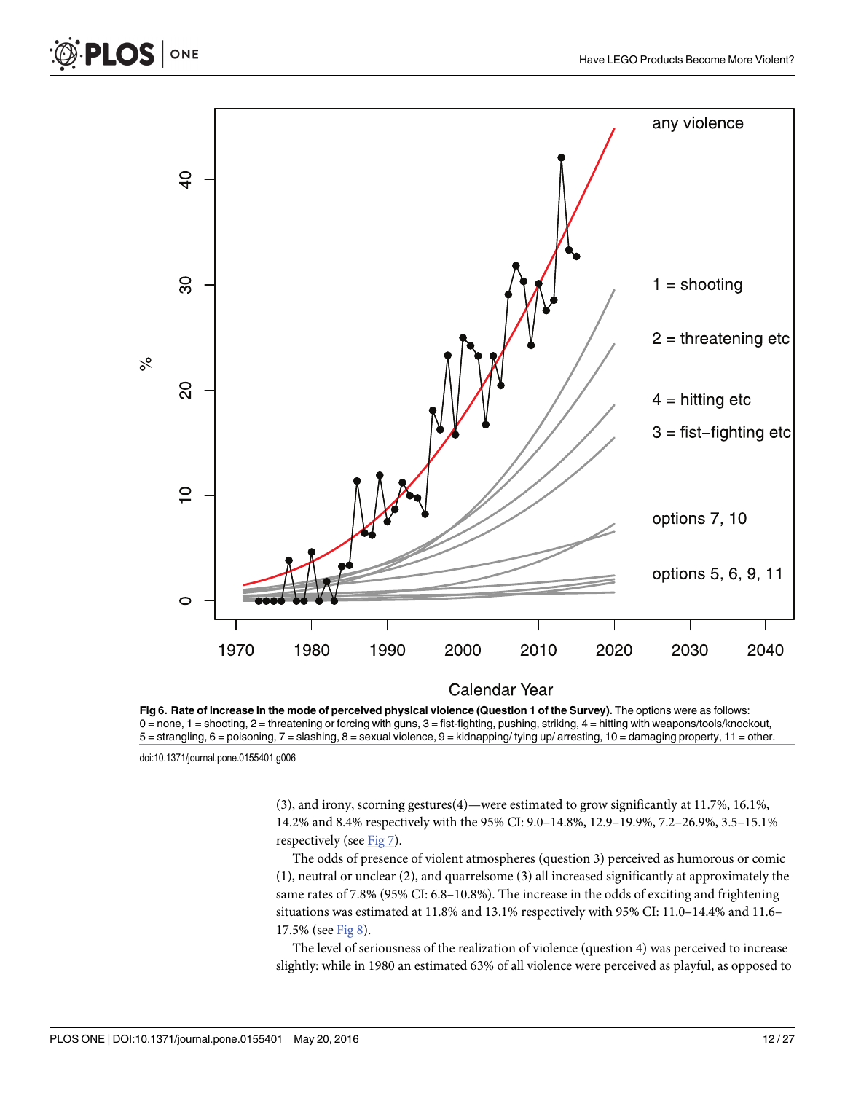

[Fig 6. R](#page-10-0)ate of increase in the mode of perceived physical violence (Question 1 of the Survey). The options were as follows: 0 = none, 1 = shooting, 2 = threatening or forcing with guns, 3 = fist-fighting, pushing, striking, 4 = hitting with weapons/tools/knockout, 5 = strangling, 6 = poisoning, 7 = slashing, 8 = sexual violence, 9 = kidnapping/ tying up/ arresting, 10 = damaging property, 11 = other.

ONE

<span id="page-11-0"></span>**PLOS I** 

(3), and irony, scorning gestures(4)—were estimated to grow significantly at 11.7%, 16.1%, 14.2% and 8.4% respectively with the 95% CI: 9.0–14.8%, 12.9–19.9%, 7.2–26.9%, 3.5–15.1% respectively (see  $Fig 7$ ).

The odds of presence of violent atmospheres (question 3) perceived as humorous or comic (1), neutral or unclear (2), and quarrelsome (3) all increased significantly at approximately the same rates of 7.8% (95% CI: 6.8–10.8%). The increase in the odds of exciting and frightening situations was estimated at 11.8% and 13.1% respectively with 95% CI: 11.0–14.4% and 11.6– 17.5% (see [Fig 8](#page-13-0)).

The level of seriousness of the realization of violence (question 4) was perceived to increase slightly: while in 1980 an estimated 63% of all violence were perceived as playful, as opposed to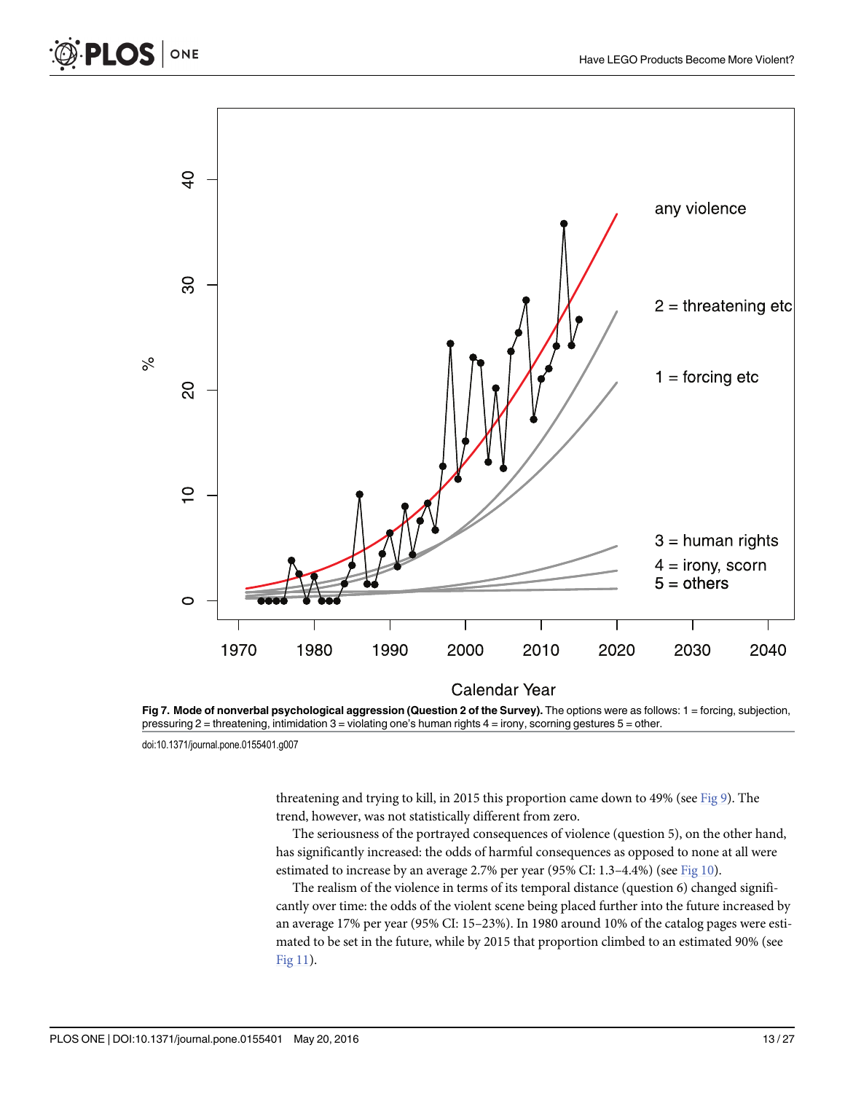

[Fig 7. M](#page-11-0)ode of nonverbal psychological aggression (Question 2 of the Survey). The options were as follows: 1 = forcing, subjection, pressuring 2 = threatening, intimidation 3 = violating one's human rights 4 = irony, scorning gestures 5 = other.

ONE

<span id="page-12-0"></span>**PLOS I** 

threatening and trying to kill, in 2015 this proportion came down to 49% (see [Fig 9](#page-14-0)). The trend, however, was not statistically different from zero.

The seriousness of the portrayed consequences of violence (question 5), on the other hand, has significantly increased: the odds of harmful consequences as opposed to none at all were estimated to increase by an average 2.7% per year (95% CI: 1.3–4.4%) (see  $Fig 10$ ).

The realism of the violence in terms of its temporal distance (question 6) changed significantly over time: the odds of the violent scene being placed further into the future increased by an average 17% per year (95% CI: 15–23%). In 1980 around 10% of the catalog pages were estimated to be set in the future, while by 2015 that proportion climbed to an estimated 90% (see Fig  $11$ ).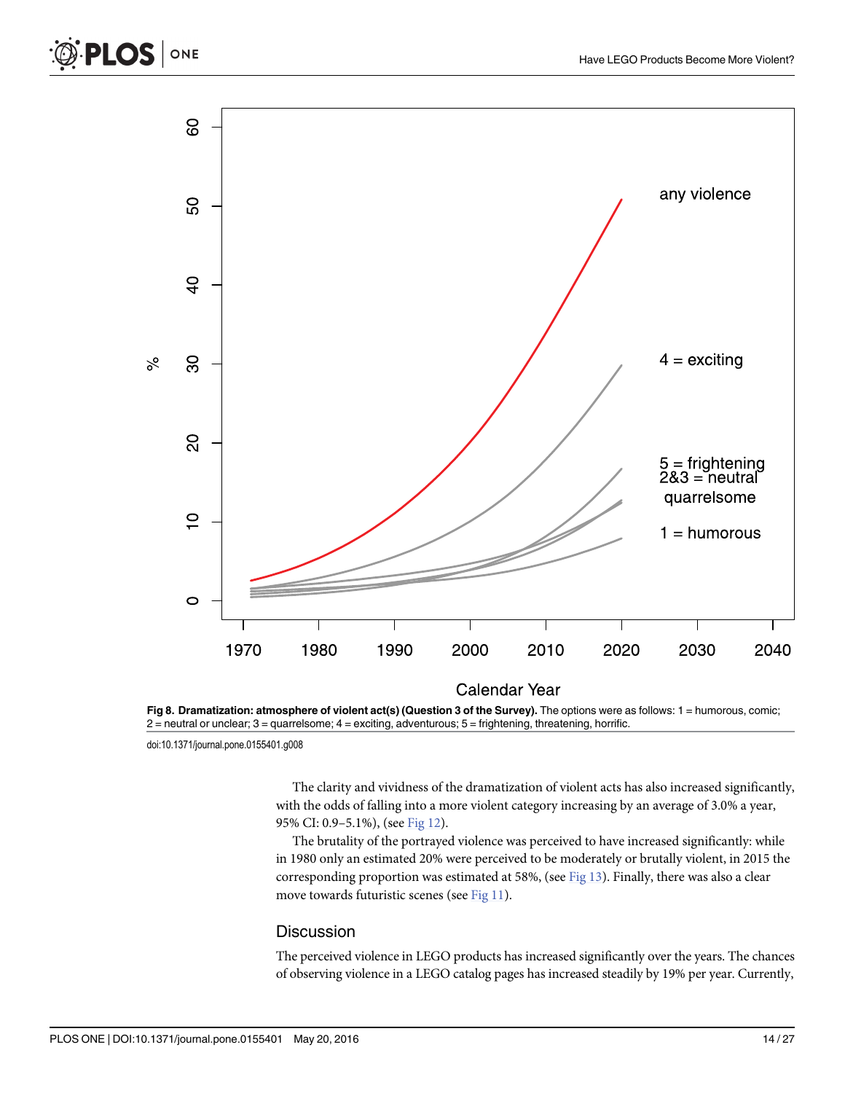

[Fig 8.](#page-11-0) Dramatization: atmosphere of violent act(s) (Question 3 of the Survey). The options were as follows:  $1 =$  humorous, comic;  $2$  = neutral or unclear;  $3$  = quarrelsome;  $4$  = exciting, adventurous;  $5$  = frightening, threatening, horrific.

doi:10.1371/journal.pone.0155401.g008

ONE

<span id="page-13-0"></span>**PLOS** 

The clarity and vividness of the dramatization of violent acts has also increased significantly, with the odds of falling into a more violent category increasing by an average of 3.0% a year, 95% CI: 0.9–5.1%), (see [Fig 12](#page-17-0)).

**Calendar Year** 

The brutality of the portrayed violence was perceived to have increased significantly: while in 1980 only an estimated 20% were perceived to be moderately or brutally violent, in 2015 the corresponding proportion was estimated at 58%, (see  $Fig 13$ ). Finally, there was also a clear move towards futuristic scenes (see [Fig 11\)](#page-16-0).

#### **Discussion**

The perceived violence in LEGO products has increased significantly over the years. The chances of observing violence in a LEGO catalog pages has increased steadily by 19% per year. Currently,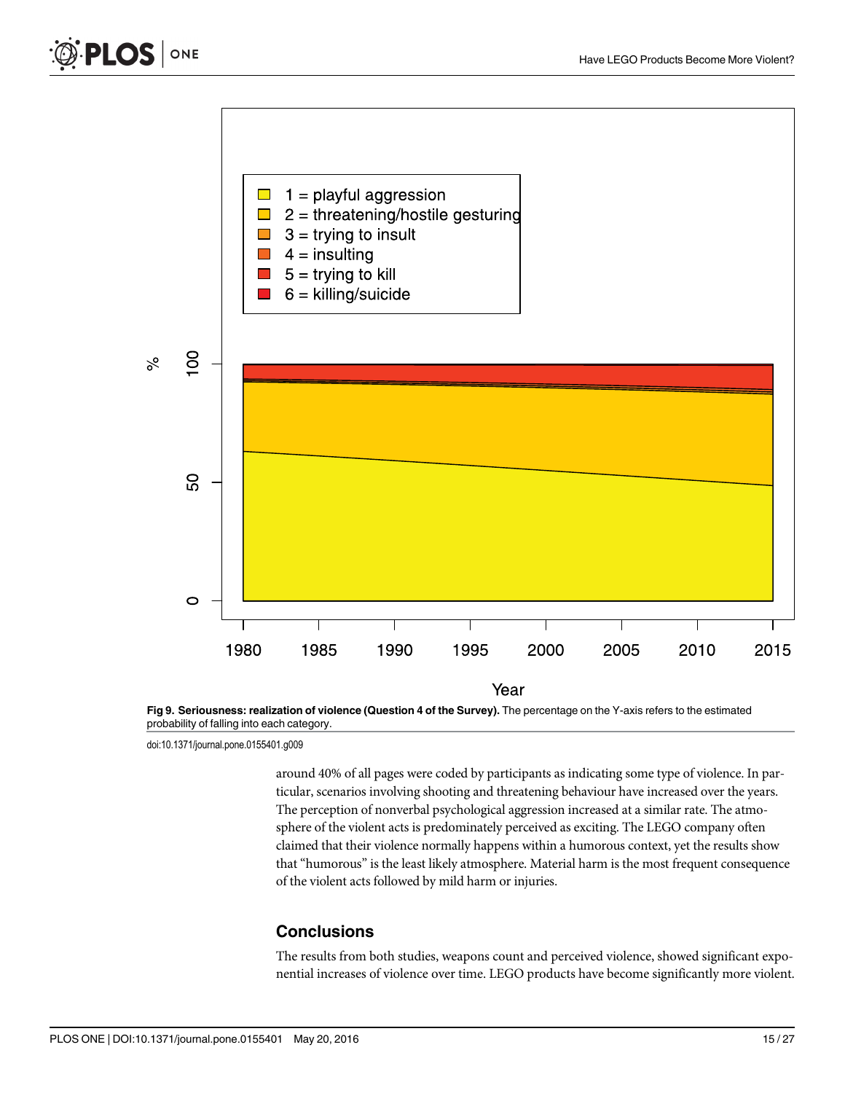<span id="page-14-0"></span>



probability of falling into each category.

around 40% of all pages were coded by participants as indicating some type of violence. In particular, scenarios involving shooting and threatening behaviour have increased over the years. The perception of nonverbal psychological aggression increased at a similar rate. The atmosphere of the violent acts is predominately perceived as exciting. The LEGO company often claimed that their violence normally happens within a humorous context, yet the results show that "humorous" is the least likely atmosphere. Material harm is the most frequent consequence of the violent acts followed by mild harm or injuries.

#### **Conclusions**

The results from both studies, weapons count and perceived violence, showed significant exponential increases of violence over time. LEGO products have become significantly more violent.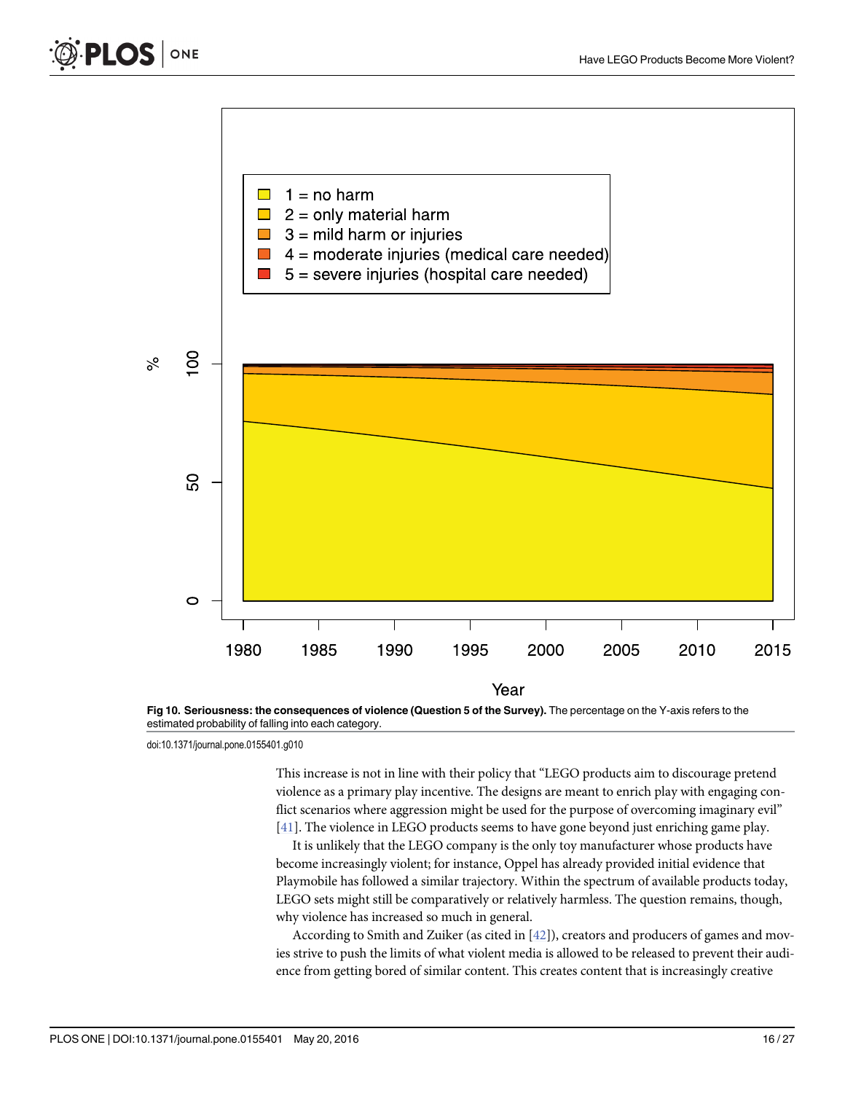<span id="page-15-0"></span>



estimated probability of falling into each category.

This increase is not in line with their policy that "LEGO products aim to discourage pretend violence as a primary play incentive. The designs are meant to enrich play with engaging conflict scenarios where aggression might be used for the purpose of overcoming imaginary evil" [\[41](#page-26-0)]. The violence in LEGO products seems to have gone beyond just enriching game play.

It is unlikely that the LEGO company is the only toy manufacturer whose products have become increasingly violent; for instance, Oppel has already provided initial evidence that Playmobile has followed a similar trajectory. Within the spectrum of available products today, LEGO sets might still be comparatively or relatively harmless. The question remains, though, why violence has increased so much in general.

According to Smith and Zuiker (as cited in [\[42](#page-26-0)]), creators and producers of games and movies strive to push the limits of what violent media is allowed to be released to prevent their audience from getting bored of similar content. This creates content that is increasingly creative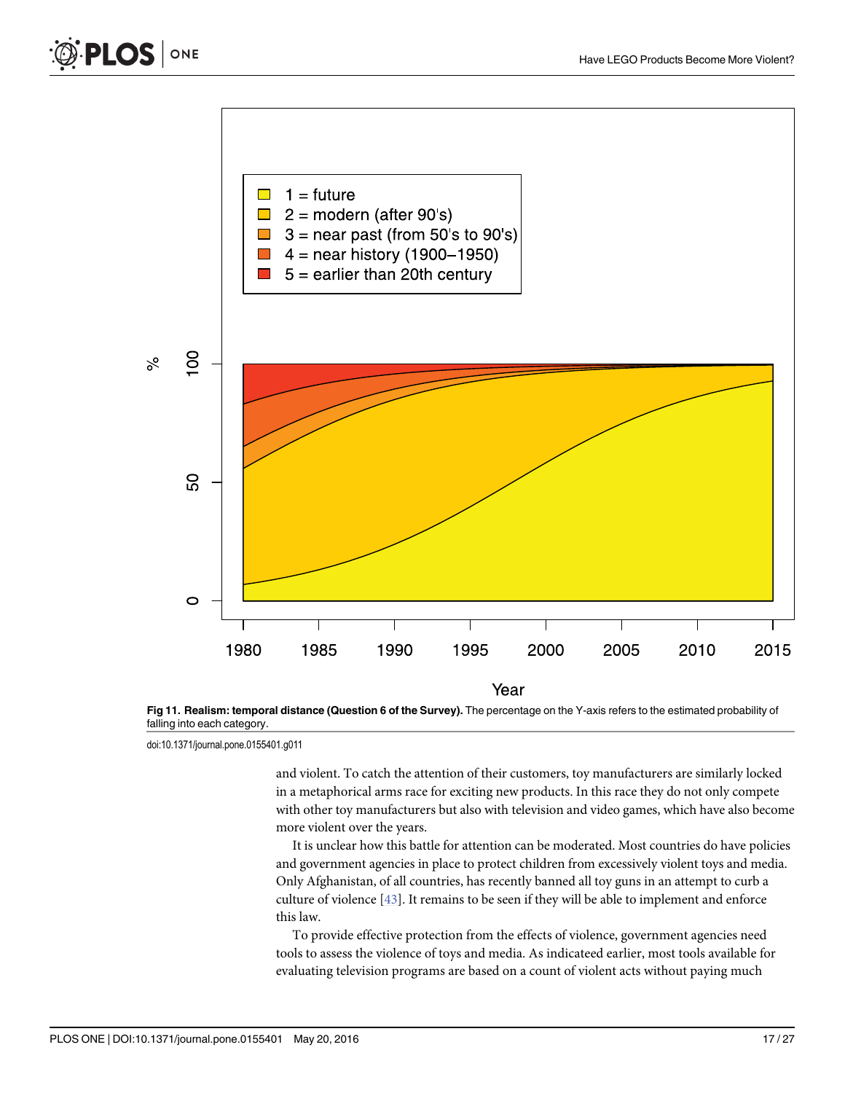<span id="page-16-0"></span>



[Fig 11. R](#page-12-0)ealism: temporal distance (Question 6 of the Survey). The percentage on the Y-axis refers to the estimated probability of falling into each category.

and violent. To catch the attention of their customers, toy manufacturers are similarly locked in a metaphorical arms race for exciting new products. In this race they do not only compete with other toy manufacturers but also with television and video games, which have also become more violent over the years.

It is unclear how this battle for attention can be moderated. Most countries do have policies and government agencies in place to protect children from excessively violent toys and media. Only Afghanistan, of all countries, has recently banned all toy guns in an attempt to curb a culture of violence  $[43]$  $[43]$  $[43]$ . It remains to be seen if they will be able to implement and enforce this law.

To provide effective protection from the effects of violence, government agencies need tools to assess the violence of toys and media. As indicateed earlier, most tools available for evaluating television programs are based on a count of violent acts without paying much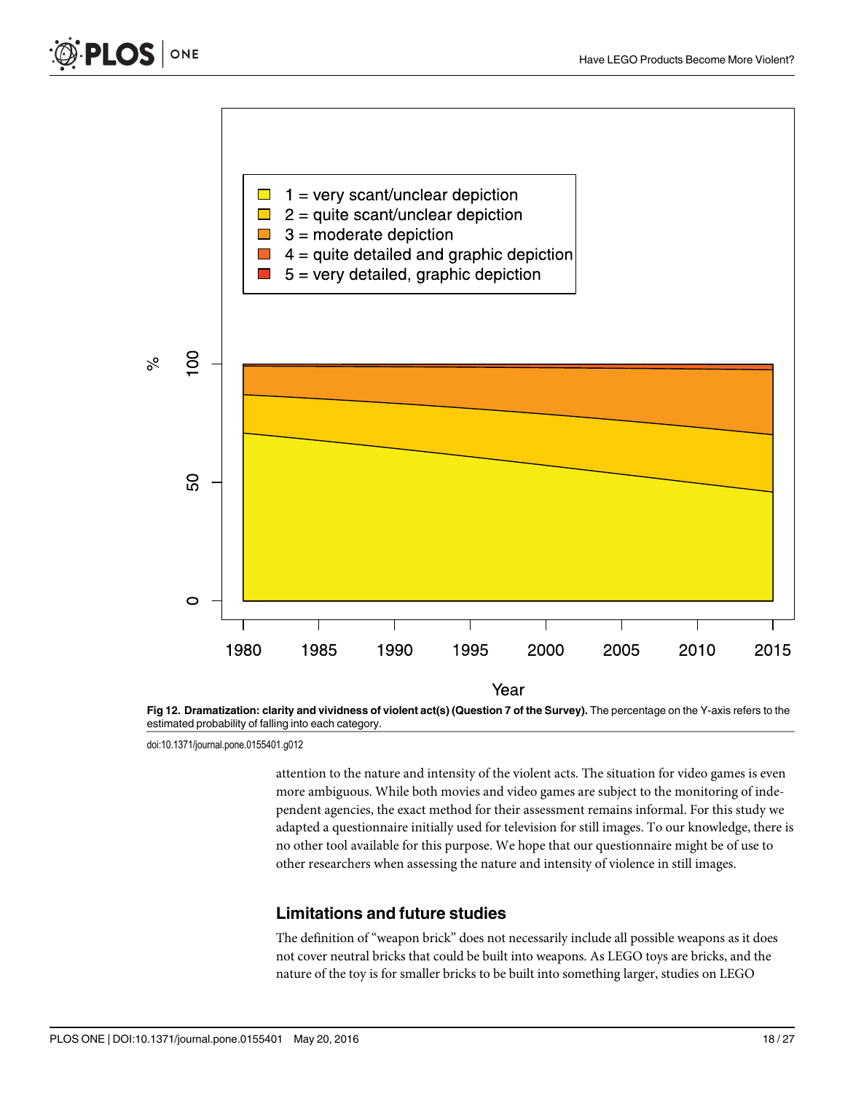<span id="page-17-0"></span>



[Fig 12. D](#page-13-0)ramatization: clarity and vividness of violent act(s) (Question 7 of the Survey). The percentage on the Y-axis refers to the estimated probability of falling into each category.

attention to the nature and intensity of the violent acts. The situation for video games is even more ambiguous. While both movies and video games are subject to the monitoring of independent agencies, the exact method for their assessment remains informal. For this study we adapted a questionnaire initially used for television for still images. To our knowledge, there is no other tool available for this purpose. We hope that our questionnaire might be of use to other researchers when assessing the nature and intensity of violence in still images.

# Limitations and future studies

The definition of "weapon brick" does not necessarily include all possible weapons as it does not cover neutral bricks that could be built into weapons. As LEGO toys are bricks, and the nature of the toy is for smaller bricks to be built into something larger, studies on LEGO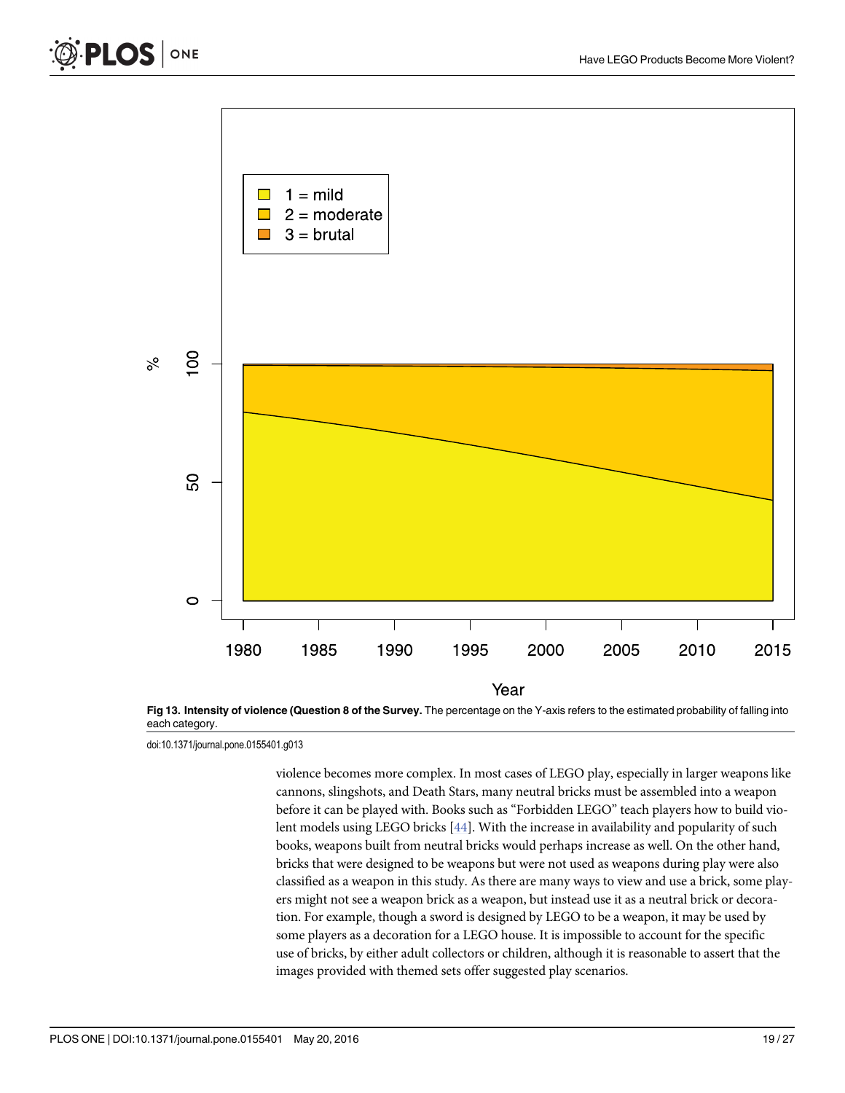<span id="page-18-0"></span>



[Fig 13. I](#page-13-0)ntensity of violence (Question 8 of the Survey. The percentage on the Y-axis refers to the estimated probability of falling into each category.

violence becomes more complex. In most cases of LEGO play, especially in larger weapons like cannons, slingshots, and Death Stars, many neutral bricks must be assembled into a weapon before it can be played with. Books such as "Forbidden LEGO" teach players how to build vio-lent models using LEGO bricks [\[44\]](#page-26-0). With the increase in availability and popularity of such books, weapons built from neutral bricks would perhaps increase as well. On the other hand, bricks that were designed to be weapons but were not used as weapons during play were also classified as a weapon in this study. As there are many ways to view and use a brick, some players might not see a weapon brick as a weapon, but instead use it as a neutral brick or decoration. For example, though a sword is designed by LEGO to be a weapon, it may be used by some players as a decoration for a LEGO house. It is impossible to account for the specific use of bricks, by either adult collectors or children, although it is reasonable to assert that the images provided with themed sets offer suggested play scenarios.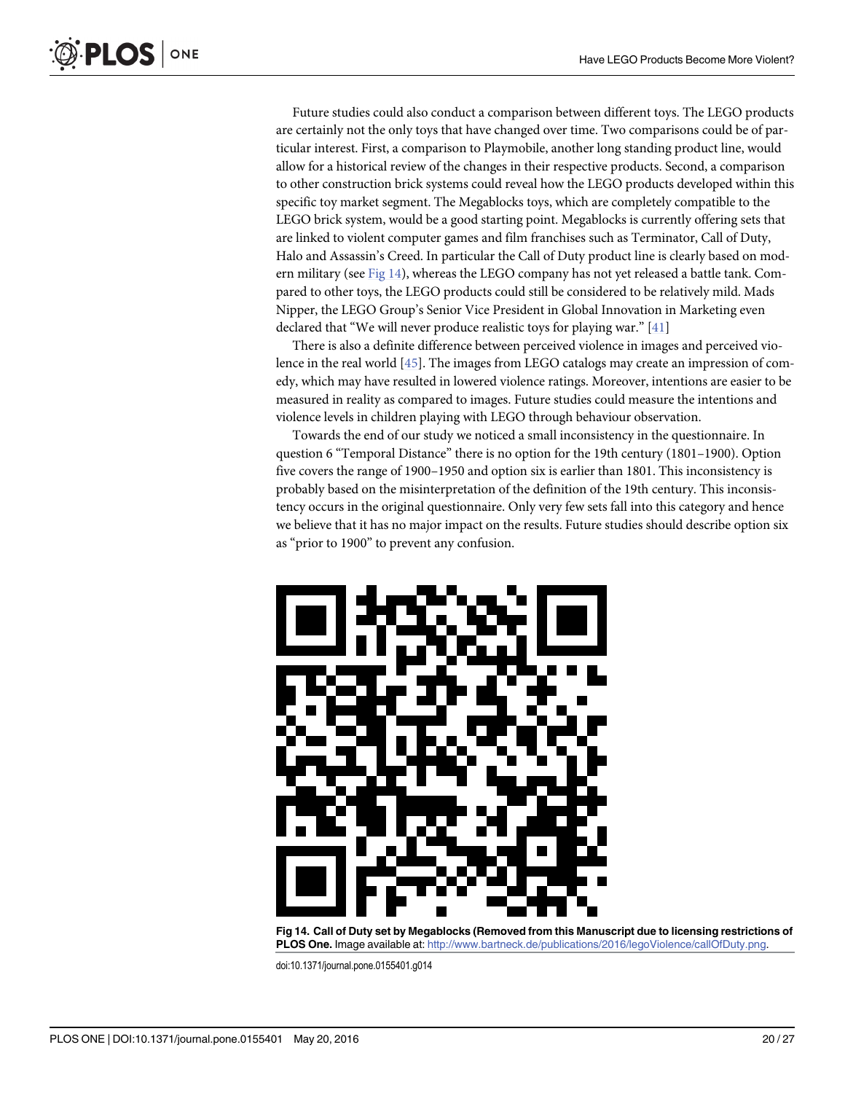<span id="page-19-0"></span>Future studies could also conduct a comparison between different toys. The LEGO products are certainly not the only toys that have changed over time. Two comparisons could be of particular interest. First, a comparison to Playmobile, another long standing product line, would allow for a historical review of the changes in their respective products. Second, a comparison to other construction brick systems could reveal how the LEGO products developed within this specific toy market segment. The Megablocks toys, which are completely compatible to the LEGO brick system, would be a good starting point. Megablocks is currently offering sets that are linked to violent computer games and film franchises such as Terminator, Call of Duty, Halo and Assassin's Creed. In particular the Call of Duty product line is clearly based on modern military (see  $Fig 14$ ), whereas the LEGO company has not yet released a battle tank. Compared to other toys, the LEGO products could still be considered to be relatively mild. Mads Nipper, the LEGO Group's Senior Vice President in Global Innovation in Marketing even declared that "We will never produce realistic toys for playing war." [[41](#page-26-0)]

There is also a definite difference between perceived violence in images and perceived violence in the real world [\[45\]](#page-26-0). The images from LEGO catalogs may create an impression of comedy, which may have resulted in lowered violence ratings. Moreover, intentions are easier to be measured in reality as compared to images. Future studies could measure the intentions and violence levels in children playing with LEGO through behaviour observation.

Towards the end of our study we noticed a small inconsistency in the questionnaire. In question 6 "Temporal Distance" there is no option for the 19th century (1801–1900). Option five covers the range of 1900–1950 and option six is earlier than 1801. This inconsistency is probably based on the misinterpretation of the definition of the 19th century. This inconsistency occurs in the original questionnaire. Only very few sets fall into this category and hence we believe that it has no major impact on the results. Future studies should describe option six as "prior to 1900" to prevent any confusion.



Fig 14. Call of Duty set by Megablocks (Removed from this Manuscript due to licensing restrictions of PLOS One. Image available at: <http://www.bartneck.de/publications/2016/legoViolence/callOfDuty.png>.

doi:10.1371/journal.pone.0155401.g014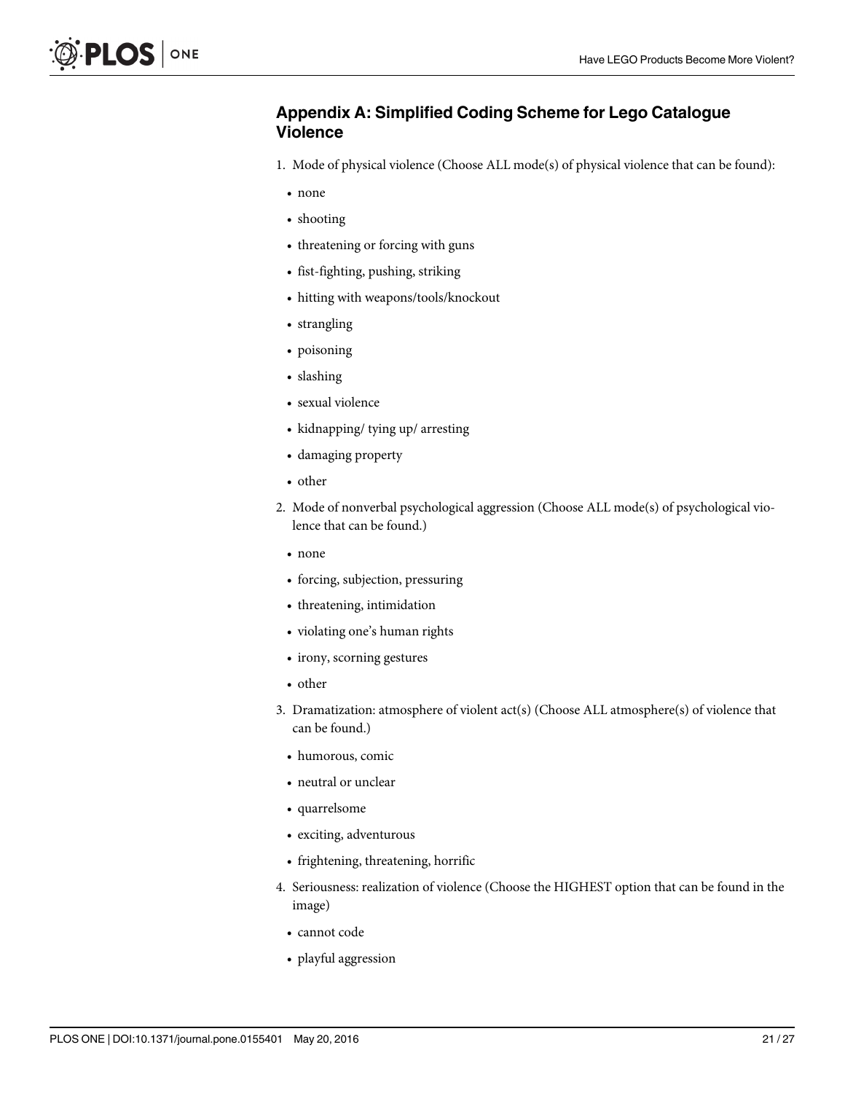# Appendix A: Simplified Coding Scheme for Lego Catalogue Violence

- 1. Mode of physical violence (Choose ALL mode(s) of physical violence that can be found):
	- none
	- shooting
	- threatening or forcing with guns
	- fist-fighting, pushing, striking
	- hitting with weapons/tools/knockout
	- strangling
	- poisoning
	- slashing
	- sexual violence
	- kidnapping/ tying up/ arresting
	- damaging property
	- other
- 2. Mode of nonverbal psychological aggression (Choose ALL mode(s) of psychological violence that can be found.)
	- none
	- forcing, subjection, pressuring
	- threatening, intimidation
	- violating one's human rights
	- irony, scorning gestures
	- other
- 3. Dramatization: atmosphere of violent act(s) (Choose ALL atmosphere(s) of violence that can be found.)
	- humorous, comic
	- neutral or unclear
	- quarrelsome
	- exciting, adventurous
	- frightening, threatening, horrific
- 4. Seriousness: realization of violence (Choose the HIGHEST option that can be found in the image)
	- cannot code
	- playful aggression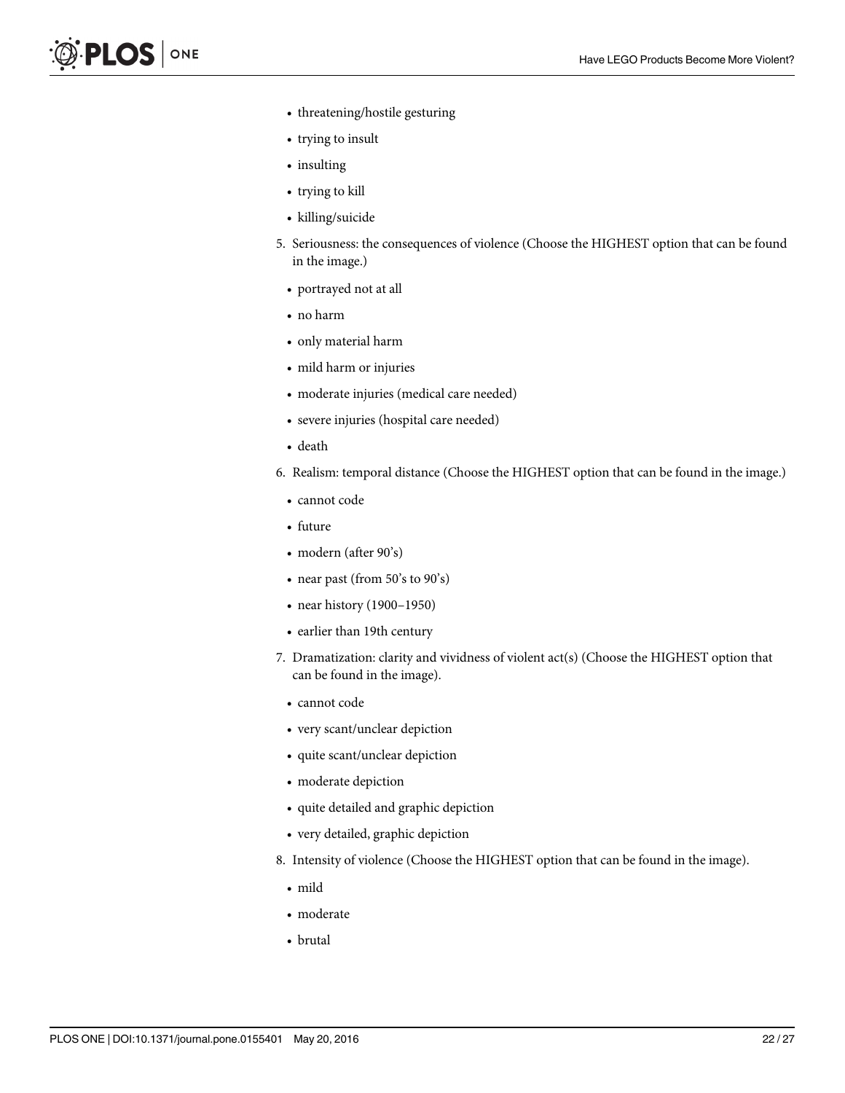- threatening/hostile gesturing
- trying to insult
- insulting
- trying to kill
- killing/suicide
- 5. Seriousness: the consequences of violence (Choose the HIGHEST option that can be found in the image.)
	- portrayed not at all
	- no harm
	- only material harm
	- mild harm or injuries
	- moderate injuries (medical care needed)
	- severe injuries (hospital care needed)
	- death
- 6. Realism: temporal distance (Choose the HIGHEST option that can be found in the image.)
	- cannot code
	- future
	- modern (after 90's)
	- near past (from 50's to 90's)
	- near history (1900–1950)
	- earlier than 19th century
- 7. Dramatization: clarity and vividness of violent act(s) (Choose the HIGHEST option that can be found in the image).
	- cannot code
	- very scant/unclear depiction
	- quite scant/unclear depiction
	- moderate depiction
	- quite detailed and graphic depiction
	- very detailed, graphic depiction
- 8. Intensity of violence (Choose the HIGHEST option that can be found in the image).
	- mild
	- moderate
	- brutal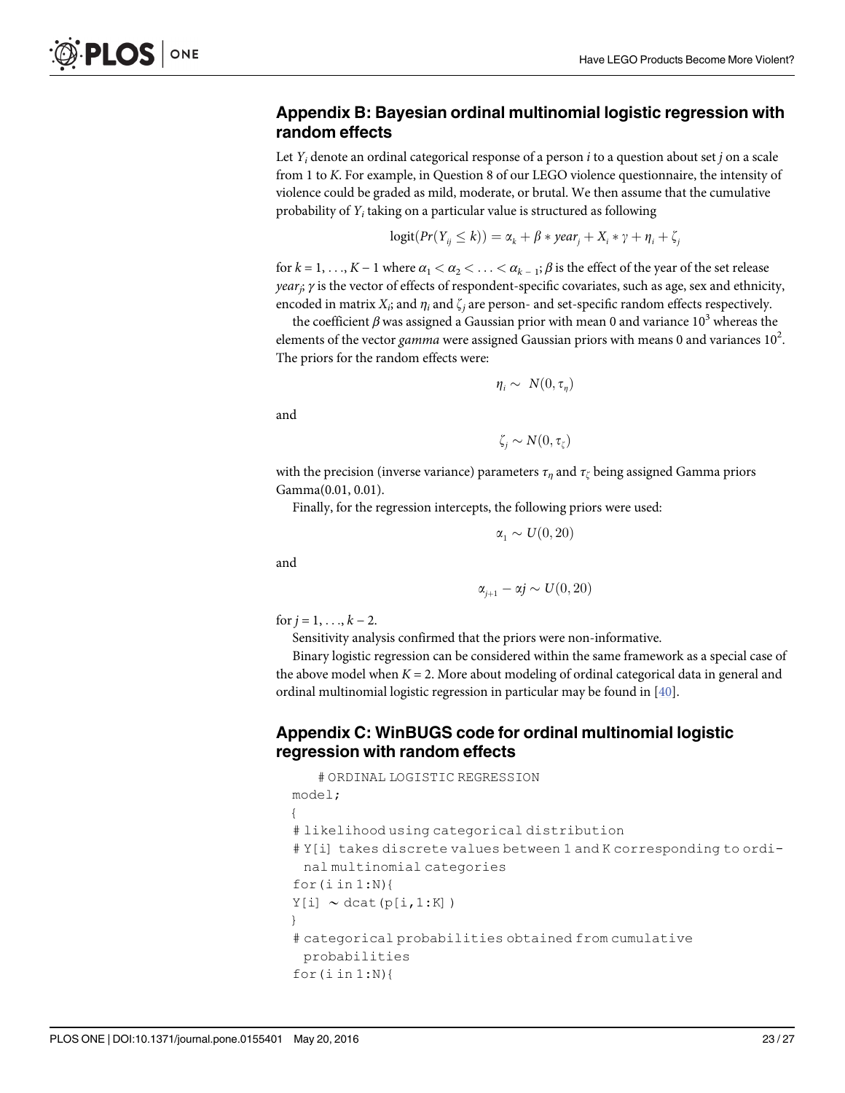# Appendix B: Bayesian ordinal multinomial logistic regression with random effects

Let  $Y_i$  denote an ordinal categorical response of a person i to a question about set j on a scale from 1 to K. For example, in Question 8 of our LEGO violence questionnaire, the intensity of violence could be graded as mild, moderate, or brutal. We then assume that the cumulative probability of  $Y_i$  taking on a particular value is structured as following

$$
logit(Pr(Y_{ij} \le k)) = \alpha_k + \beta * year_j + X_i * \gamma + \eta_i + \zeta_j
$$

for  $k = 1, \ldots, K - 1$  where  $\alpha_1 < \alpha_2 < \ldots < \alpha_{k-1}$ ;  $\beta$  is the effect of the year of the set release *year<sub>i</sub>*;  $γ$  is the vector of effects of respondent-specific covariates, such as age, sex and ethnicity, encoded in matrix  $X_i$ ; and  $\eta_i$  and  $\zeta_j$  are person- and set-specific random effects respectively.

the coefficient  $\beta$  was assigned a Gaussian prior with mean 0 and variance 10<sup>3</sup> whereas the elements of the vector *gamma* were assigned Gaussian priors with means 0 and variances  $10^2$ . The priors for the random effects were:

$$
\eta_i \sim N(0, \tau_{\eta})
$$

and

ONE

.OS I

$$
\zeta_j \sim N(0, \tau_\zeta)
$$

with the precision (inverse variance) parameters  $\tau_n$  and  $\tau_\zeta$  being assigned Gamma priors Gamma(0.01, 0.01).

Finally, for the regression intercepts, the following priors were used:

$$
\alpha_1 \sim U(0, 20)
$$

and

$$
\alpha_{j+1} - \alpha j \sim U(0, 20)
$$

for  $j = 1, \ldots, k - 2$ .

Sensitivity analysis confirmed that the priors were non-informative.

Binary logistic regression can be considered within the same framework as a special case of the above model when  $K = 2$ . More about modeling of ordinal categorical data in general and ordinal multinomial logistic regression in particular may be found in [\[40\]](#page-26-0).

### Appendix C: WinBUGS code for ordinal multinomial logistic regression with random effects

```
# ORDINAL LOGISTIC REGRESSION
model;
{
# likelihood using categorical distribution
#Y[i] takes discrete values between 1 and K corresponding to ordi-
 nal multinomial categories
for(i in 1:N)Y[i] \sim \text{data}(p[i,1:K])}
# categorical probabilities obtained from cumulative
 probabilities
for(i in 1:N){
```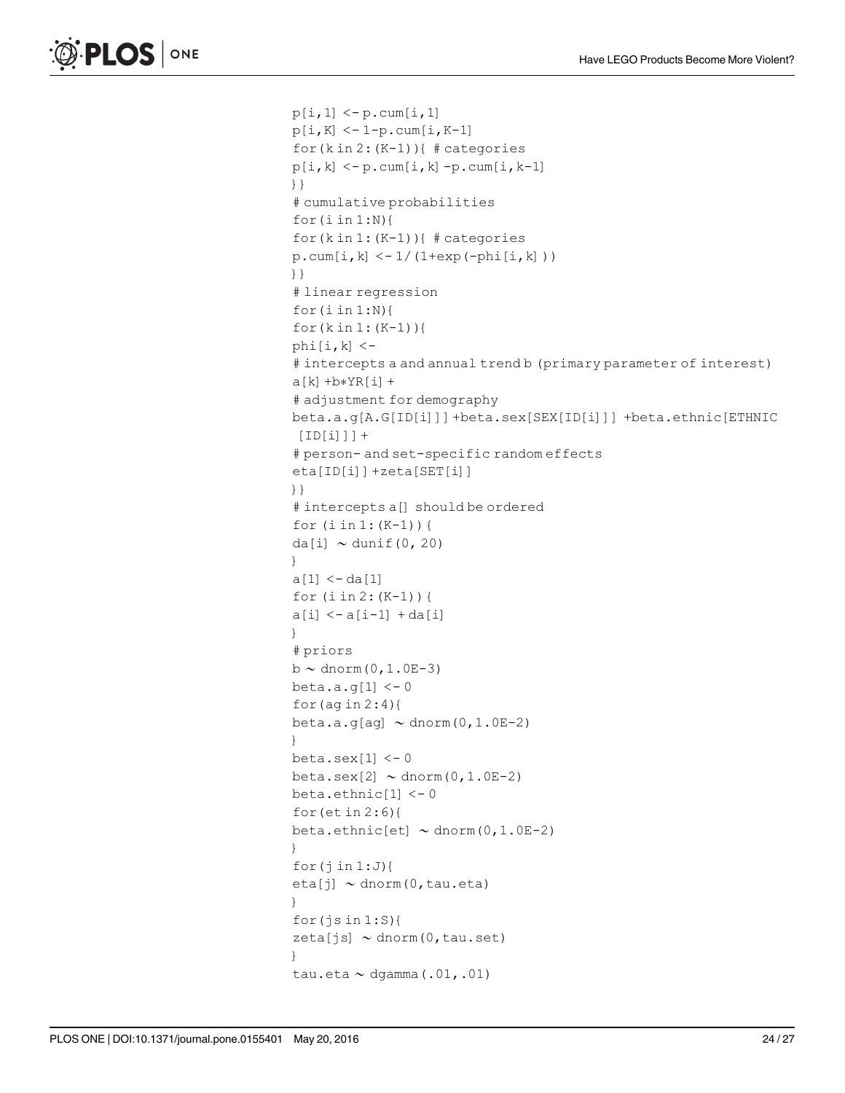```
p[i,1] < -p.cum[i,1]p[i,K] < -1-p.cum[i,K-1]for(k in 2:(K-1)){ # categories
p[i,k] < -p.cum[i,k]-p.cum[i,k-1]}}
# cumulative probabilities
for(i in 1:N){
for(k in 1:(K-1)){ # categories
p.cum[i,k] < -1/(1+exp(-phi[i,k]))}}
# linear regression
for(i in 1:N){
for(k in 1: (K-1))phi[i,k] < -# intercepts a and annual trend b (primary parameter of interest)
a[k]+b*YR[i]+# adjustment for demography
beta.a.g [A.G [ID [i]]]+beta.sex [SEX [ID [i]]] +beta.ethnic [ETHNIC
[ID[i]]] +# person- and set-specific random effects
eta [ID [i]] +zeta [SET [i]]
}}
# intercepts a [] should be ordered
for (i in 1:(K-1)) {
da [i] \sim dunif (0, 20)
}
a[1] < - da[1]for (i \text{ in } 2: (K-1)) {
a[i] < -a[i-1] + da[i]}
# priors
b \sim dnorm(0, 1.0E-3)
beta.a.g[1] < -0for (\text{ag in } 2:4){
beta.a.g[ag] \sim dnorm(0,1.0E-2)
}
beta.sex[1] < -0beta.sex [2] \sim \text{dnorm}(0, 1.0E-2)beta.ethnic [1] < -0for(et in 2:6){
beta.ethnic [et] \sim dnorm (0, 1.0E-2)
}
for(j in 1:J}{
eta [j] \sim dnorm (0, tau.eta)
}
for(j \sin 1: S){
zeta[js] \sim \text{dnorm}(0, \text{tau.set})}
tau.eta \sim dgamma (.01, .01)
```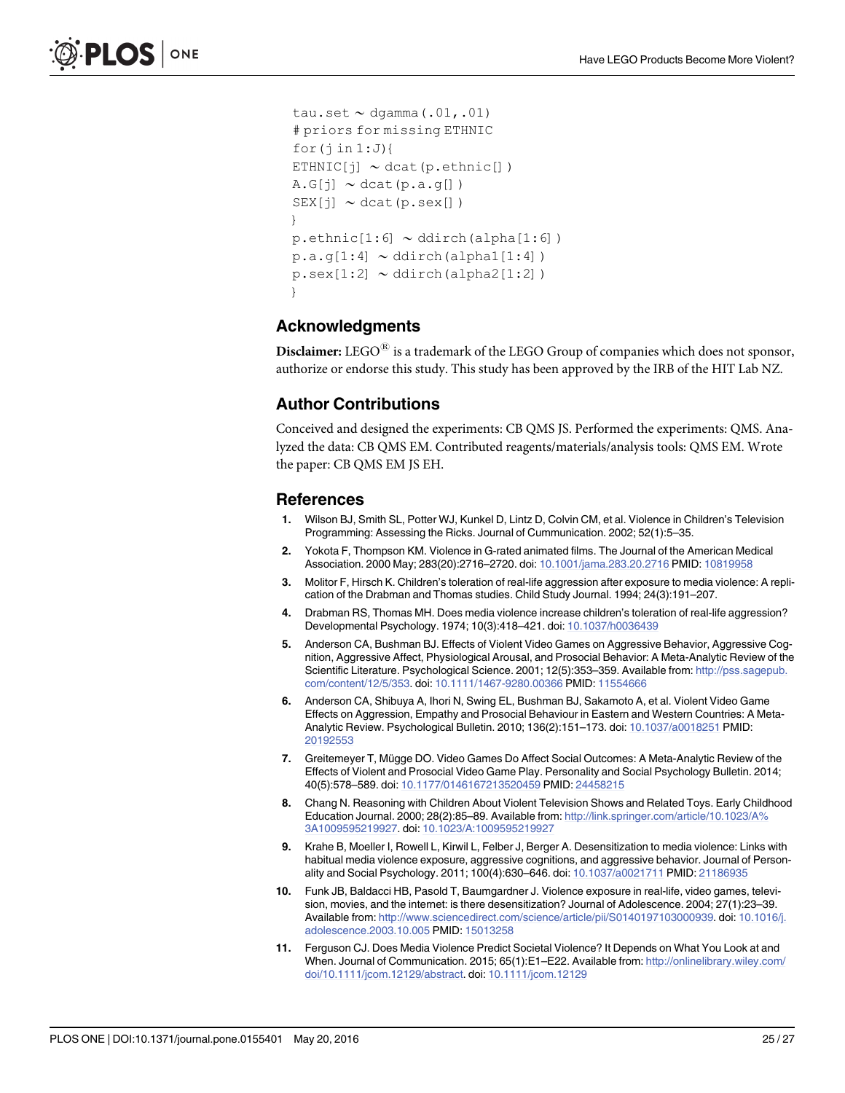```
tau.set \sim dgamma(.01,.01)
# priors for missing ETHNIC
for(i in 1:J)ETHNIC[j] \sim \text{dcat}(p.\text{ethnic}[])A.G[i] \sim \text{dcat}(p.a.q[])SEX[j] \sim \text{dcat}(p \cdot \text{sex}[])}
p.ethnic [1:6] ~ ddirch(alpha [1:6])
p.a.q[1:4] \sim ddirch(alpha1[1:4])
p.\texttt{sex}[1:2] \sim \text{ddirch}(\text{alpha2}[1:2])}
```
### Acknowledgments

**Disclaimer:** LEGO $^{\circledR}$  is a trademark of the LEGO Group of companies which does not sponsor, authorize or endorse this study. This study has been approved by the IRB of the HIT Lab NZ.

#### Author Contributions

Conceived and designed the experiments: CB QMS JS. Performed the experiments: QMS. Analyzed the data: CB QMS EM. Contributed reagents/materials/analysis tools: QMS EM. Wrote the paper: CB QMS EM JS EH.

#### References

- [1.](#page-0-0) Wilson BJ, Smith SL, Potter WJ, Kunkel D, Lintz D, Colvin CM, et al. Violence in Children's Television Programming: Assessing the Ricks. Journal of Cummunication. 2002; 52(1):5–35.
- [2.](#page-0-0) Yokota F, Thompson KM. Violence in G-rated animated films. The Journal of the American Medical Association. 2000 May; 283(20):2716–2720. doi: [10.1001/jama.283.20.2716](http://dx.doi.org/10.1001/jama.283.20.2716) PMID: [10819958](http://www.ncbi.nlm.nih.gov/pubmed/10819958)
- [3.](#page-0-0) Molitor F, Hirsch K. Children's toleration of real-life aggression after exposure to media violence: A replication of the Drabman and Thomas studies. Child Study Journal. 1994; 24(3):191–207.
- [4.](#page-1-0) Drabman RS, Thomas MH. Does media violence increase children's toleration of real-life aggression? Developmental Psychology. 1974; 10(3):418–421. doi: [10.1037/h0036439](http://dx.doi.org/10.1037/h0036439)
- [5.](#page-0-0) Anderson CA, Bushman BJ. Effects of Violent Video Games on Aggressive Behavior, Aggressive Cognition, Aggressive Affect, Physiological Arousal, and Prosocial Behavior: A Meta-Analytic Review of the Scientific Literature. Psychological Science. 2001; 12(5):353–359. Available from: [http://pss.sagepub.](http://pss.sagepub.com/content/12/5/353) [com/content/12/5/353.](http://pss.sagepub.com/content/12/5/353) doi: [10.1111/1467-9280.00366](http://dx.doi.org/10.1111/1467-9280.00366) PMID: [11554666](http://www.ncbi.nlm.nih.gov/pubmed/11554666)
- [6.](#page-0-0) Anderson CA, Shibuya A, Ihori N, Swing EL, Bushman BJ, Sakamoto A, et al. Violent Video Game Effects on Aggression, Empathy and Prosocial Behaviour in Eastern and Western Countries: A Meta-Analytic Review. Psychological Bulletin. 2010; 136(2):151–173. doi: [10.1037/a0018251](http://dx.doi.org/10.1037/a0018251) PMID: [20192553](http://www.ncbi.nlm.nih.gov/pubmed/20192553)
- [7.](#page-0-0) Greitemeyer T, Mügge DO. Video Games Do Affect Social Outcomes: A Meta-Analytic Review of the Effects of Violent and Prosocial Video Game Play. Personality and Social Psychology Bulletin. 2014; 40(5):578–589. doi: [10.1177/0146167213520459](http://dx.doi.org/10.1177/0146167213520459) PMID: [24458215](http://www.ncbi.nlm.nih.gov/pubmed/24458215)
- [8.](#page-0-0) Chang N. Reasoning with Children About Violent Television Shows and Related Toys. Early Childhood Education Journal. 2000; 28(2):85–89. Available from: [http://link.springer.com/article/10.1023/A%](http://link.springer.com/article/10.1023/A%3A1009595219927) [3A1009595219927.](http://link.springer.com/article/10.1023/A%3A1009595219927) doi: [10.1023/A:1009595219927](http://dx.doi.org/10.1023/A:1009595219927)
- [9.](#page-0-0) Krahe B, Moeller I, Rowell L, Kirwil L, Felber J, Berger A. Desensitization to media violence: Links with habitual media violence exposure, aggressive cognitions, and aggressive behavior. Journal of Personality and Social Psychology. 2011; 100(4):630–646. doi: [10.1037/a0021711](http://dx.doi.org/10.1037/a0021711) PMID: [21186935](http://www.ncbi.nlm.nih.gov/pubmed/21186935)
- [10.](#page-0-0) Funk JB, Baldacci HB, Pasold T, Baumgardner J. Violence exposure in real-life, video games, television, movies, and the internet: is there desensitization? Journal of Adolescence. 2004; 27(1):23–39. Available from: <http://www.sciencedirect.com/science/article/pii/S0140197103000939>. doi: [10.1016/j.](http://dx.doi.org/10.1016/j.adolescence.2003.10.005) [adolescence.2003.10.005](http://dx.doi.org/10.1016/j.adolescence.2003.10.005) PMID: [15013258](http://www.ncbi.nlm.nih.gov/pubmed/15013258)
- [11.](#page-1-0) Ferguson CJ. Does Media Violence Predict Societal Violence? It Depends on What You Look at and When. Journal of Communication. 2015; 65(1):E1–E22. Available from: [http://onlinelibrary.wiley.com/](http://onlinelibrary.wiley.com/doi/10.1111/jcom.12129/abstract) [doi/10.1111/jcom.12129/abstract.](http://onlinelibrary.wiley.com/doi/10.1111/jcom.12129/abstract) doi: [10.1111/jcom.12129](http://dx.doi.org/10.1111/jcom.12129)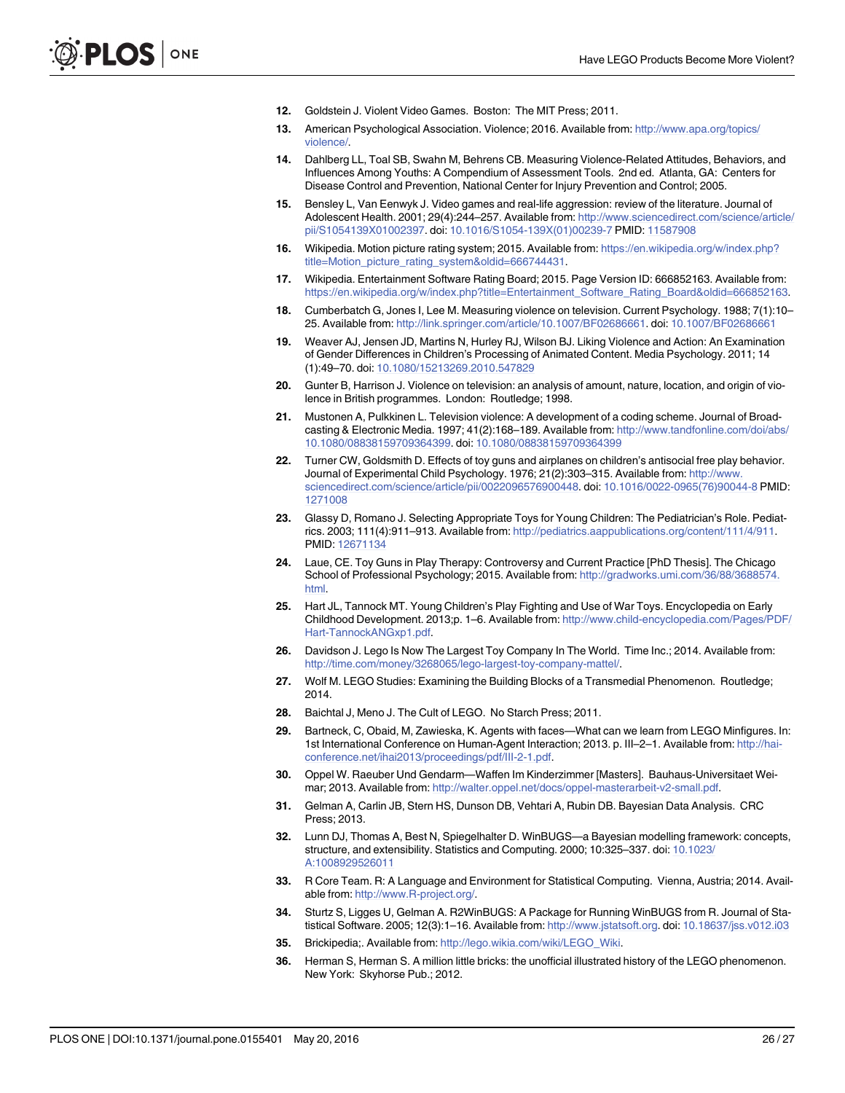- <span id="page-25-0"></span>[12.](#page-1-0) Goldstein J. Violent Video Games. Boston: The MIT Press; 2011.
- [13.](#page-1-0) American Psychological Association. Violence; 2016. Available from: [http://www.apa.org/topics/](http://www.apa.org/topics/violence/) [violence/](http://www.apa.org/topics/violence/)
- [14.](#page-1-0) Dahlberg LL, Toal SB, Swahn M, Behrens CB. Measuring Violence-Related Attitudes, Behaviors, and Influences Among Youths: A Compendium of Assessment Tools. 2nd ed. Atlanta, GA: Centers for Disease Control and Prevention, National Center for Injury Prevention and Control; 2005.
- [15.](#page-1-0) Bensley L, Van Eenwyk J. Video games and real-life aggression: review of the literature. Journal of Adolescent Health. 2001; 29(4):244-257. Available from: [http://www.sciencedirect.com/science/article/](http://www.sciencedirect.com/science/article/pii/S1054139X01002397) [pii/S1054139X01002397.](http://www.sciencedirect.com/science/article/pii/S1054139X01002397) doi: [10.1016/S1054-139X\(01\)00239-7](http://dx.doi.org/10.1016/S1054-139X(01)00239-7) PMID: [11587908](http://www.ncbi.nlm.nih.gov/pubmed/11587908)
- [16.](#page-1-0) Wikipedia. Motion picture rating system; 2015. Available from: [https://en.wikipedia.org/w/index.php?](https://en.wikipedia.org/w/index.php?title=Motion_picture_rating_system&oldid=666744431) [title=Motion\\_picture\\_rating\\_system&oldid=666744431](https://en.wikipedia.org/w/index.php?title=Motion_picture_rating_system&oldid=666744431)
- [17.](#page-1-0) Wikipedia. Entertainment Software Rating Board; 2015. Page Version ID: 666852163. Available from: [https://en.wikipedia.org/w/index.php?title=Entertainment\\_Software\\_Rating\\_Board&oldid=666852163.](https://en.wikipedia.org/w/index.php?title=Entertainment_Software_Rating_Board&oldid=666852163)
- [18.](#page-1-0) Cumberbatch G, Jones I, Lee M. Measuring violence on television. Current Psychology. 1988; 7(1):10– 25. Available from: [http://link.springer.com/article/10.1007/BF02686661.](http://link.springer.com/article/10.1007/BF02686661) doi: [10.1007/BF02686661](http://dx.doi.org/10.1007/BF02686661)
- [19.](#page-1-0) Weaver AJ, Jensen JD, Martins N, Hurley RJ, Wilson BJ. Liking Violence and Action: An Examination of Gender Differences in Children's Processing of Animated Content. Media Psychology. 2011; 14 (1):49–70. doi: [10.1080/15213269.2010.547829](http://dx.doi.org/10.1080/15213269.2010.547829)
- [20.](#page-1-0) Gunter B, Harrison J. Violence on television: an analysis of amount, nature, location, and origin of violence in British programmes. London: Routledge; 1998.
- [21.](#page-1-0) Mustonen A, Pulkkinen L. Television violence: A development of a coding scheme. Journal of Broadcasting & Electronic Media. 1997; 41(2):168–189. Available from: [http://www.tandfonline.com/doi/abs/](http://www.tandfonline.com/doi/abs/10.1080/08838159709364399) [10.1080/08838159709364399.](http://www.tandfonline.com/doi/abs/10.1080/08838159709364399) doi: [10.1080/08838159709364399](http://dx.doi.org/10.1080/08838159709364399)
- [22.](#page-2-0) Turner CW, Goldsmith D. Effects of toy guns and airplanes on children's antisocial free play behavior. Journal of Experimental Child Psychology. 1976; 21(2):303-315. Available from: [http://www.](http://www.sciencedirect.com/science/article/pii/0022096576900448) [sciencedirect.com/science/article/pii/0022096576900448](http://www.sciencedirect.com/science/article/pii/0022096576900448). doi: [10.1016/0022-0965\(76\)90044-8](http://dx.doi.org/10.1016/0022-0965(76)90044-8) PMID: [1271008](http://www.ncbi.nlm.nih.gov/pubmed/1271008)
- [23.](#page-2-0) Glassy D, Romano J. Selecting Appropriate Toys for Young Children: The Pediatrician's Role. Pediatrics. 2003; 111(4):911–913. Available from: <http://pediatrics.aappublications.org/content/111/4/911>. PMID: [12671134](http://www.ncbi.nlm.nih.gov/pubmed/12671134)
- [24.](#page-2-0) Laue, CE. Toy Guns in Play Therapy: Controversy and Current Practice [PhD Thesis]. The Chicago School of Professional Psychology; 2015. Available from: [http://gradworks.umi.com/36/88/3688574.](http://gradworks.umi.com/36/88/3688574.html) [html.](http://gradworks.umi.com/36/88/3688574.html)
- [25.](#page-2-0) Hart JL, Tannock MT. Young Children's Play Fighting and Use of War Toys. Encyclopedia on Early Childhood Development. 2013;p. 1–6. Available from: [http://www.child-encyclopedia.com/Pages/PDF/](http://www.child-encyclopedia.com/Pages/PDF/Hart-TannockANGxp1.pdf) [Hart-TannockANGxp1.pdf.](http://www.child-encyclopedia.com/Pages/PDF/Hart-TannockANGxp1.pdf)
- [26.](#page-2-0) Davidson J. Lego Is Now The Largest Toy Company In The World. Time Inc.; 2014. Available from: [http://time.com/money/3268065/lego-largest-toy-company-mattel/.](http://time.com/money/3268065/lego-largest-toy-company-mattel/)
- [27.](#page-2-0) Wolf M. LEGO Studies: Examining the Building Blocks of a Transmedial Phenomenon. Routledge; 2014.
- [28.](#page-2-0) Baichtal J, Meno J. The Cult of LEGO. No Starch Press; 2011.
- [29.](#page-2-0) Bartneck, C, Obaid, M, Zawieska, K. Agents with faces—What can we learn from LEGO Minfigures. In: 1st International Conference on Human-Agent Interaction; 2013. p. III–2–1. Available from: [http://hai](http://hai-conference.net/ihai2013/proceedings/pdf/III-2-1.pdf)[conference.net/ihai2013/proceedings/pdf/III-2-1.pdf](http://hai-conference.net/ihai2013/proceedings/pdf/III-2-1.pdf).
- [30.](#page-2-0) Oppel W. Raeuber Und Gendarm—Waffen Im Kinderzimmer [Masters]. Bauhaus-Universitaet Weimar; 2013. Available from: [http://walter.oppel.net/docs/oppel-masterarbeit-v2-small.pdf.](http://walter.oppel.net/docs/oppel-masterarbeit-v2-small.pdf)
- [31.](#page-4-0) Gelman A, Carlin JB, Stern HS, Dunson DB, Vehtari A, Rubin DB. Bayesian Data Analysis. CRC Press; 2013.
- [32.](#page-4-0) Lunn DJ, Thomas A, Best N, Spiegelhalter D. WinBUGS—a Bayesian modelling framework: concepts, structure, and extensibility. Statistics and Computing. 2000; 10:325–337. doi: [10.1023/](http://dx.doi.org/10.1023/A:1008929526011) [A:1008929526011](http://dx.doi.org/10.1023/A:1008929526011)
- [33.](#page-4-0) R Core Team. R: A Language and Environment for Statistical Computing. Vienna, Austria; 2014. Available from: http://www.R-project.org/
- [34.](#page-4-0) Sturtz S, Ligges U, Gelman A. R2WinBUGS: A Package for Running WinBUGS from R. Journal of Statistical Software. 2005; 12(3):1-16. Available from: [http://www.jstatsoft.org.](http://www.jstatsoft.org) doi: [10.18637/jss.v012.i03](http://dx.doi.org/10.18637/jss.v012.i03)
- [35.](#page-7-0) Brickipedia;. Available from: [http://lego.wikia.com/wiki/LEGO\\_Wiki.](http://lego.wikia.com/wiki/LEGO_Wiki)
- [36.](#page-7-0) Herman S, Herman S. A million little bricks: the unofficial illustrated history of the LEGO phenomenon. New York: Skyhorse Pub.; 2012.